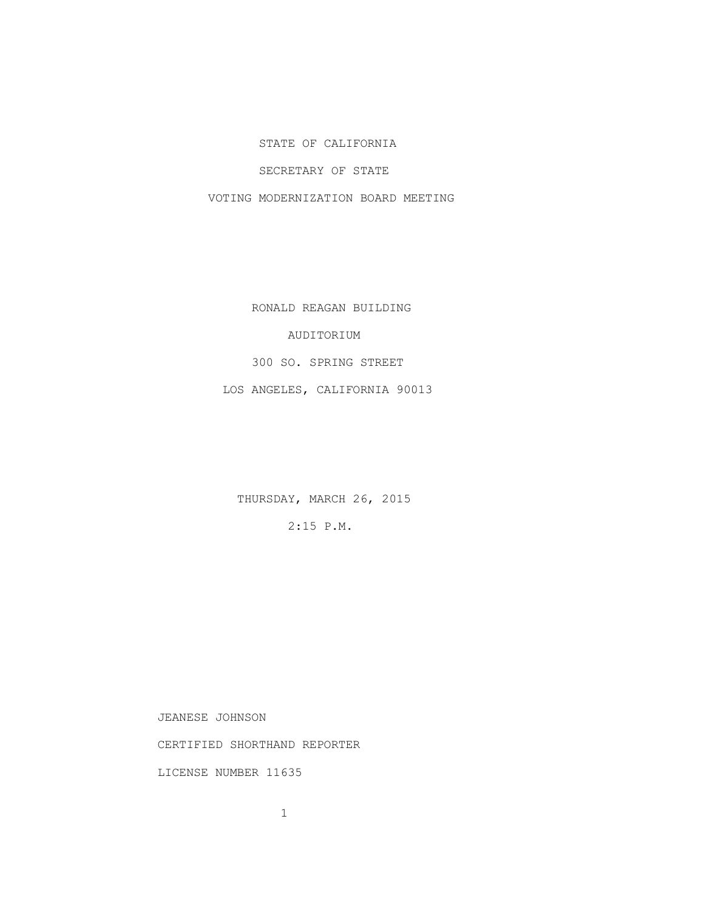## STATE OF CALIFORNIA

## SECRETARY OF STATE

VOTING MODERNIZATION BOARD MEETING

RONALD REAGAN BUILDING

## AUDITORIUM

300 SO. SPRING STREET

LOS ANGELES, CALIFORNIA 90013

THURSDAY, MARCH 26, 2015

2:15 P.M.

JEANESE JOHNSON

CERTIFIED SHORTHAND REPORTER

LICENSE NUMBER 11635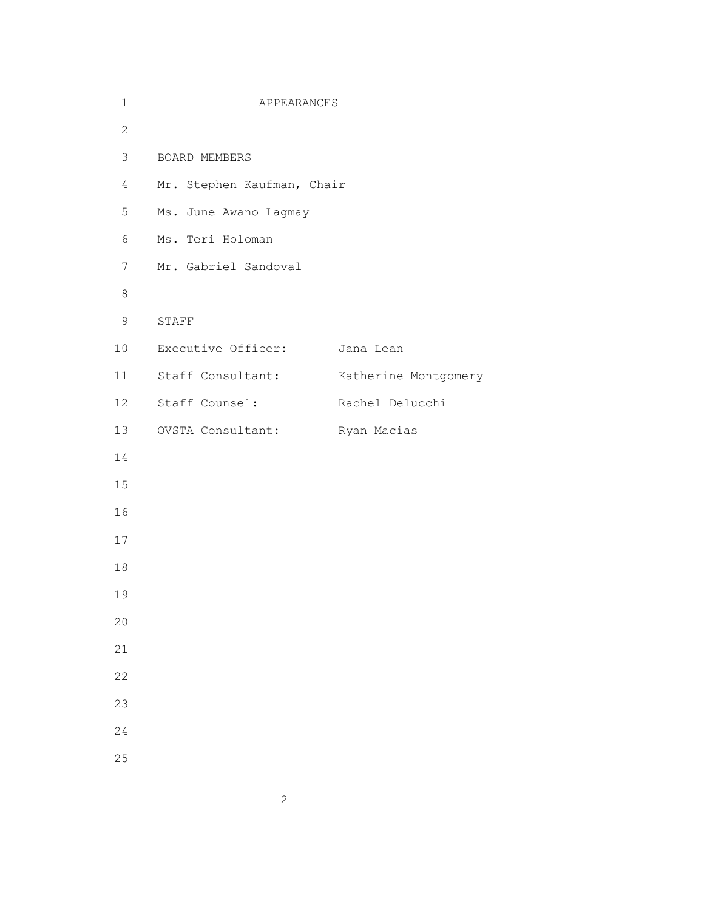| $\mathbf 1$     | APPEARANCES                   |                      |
|-----------------|-------------------------------|----------------------|
| $\overline{2}$  |                               |                      |
| $\mathfrak{Z}$  | BOARD MEMBERS                 |                      |
| $\overline{4}$  | Mr. Stephen Kaufman, Chair    |                      |
| 5               | Ms. June Awano Lagmay         |                      |
| 6               | Ms. Teri Holoman              |                      |
| $7\phantom{.0}$ | Mr. Gabriel Sandoval          |                      |
| $\,8\,$         |                               |                      |
| 9               | STAFF                         |                      |
| 10 <sub>o</sub> | Executive Officer: Jana Lean  |                      |
| 11              | Staff Consultant:             | Katherine Montgomery |
| 12              | Staff Counsel:                | Rachel Delucchi      |
| 13              | OVSTA Consultant: Ryan Macias |                      |
| 14              |                               |                      |
| 15              |                               |                      |
| 16              |                               |                      |
| 17              |                               |                      |
| 18              |                               |                      |
| 19              |                               |                      |
| 20              |                               |                      |
| 21              |                               |                      |
| 22              |                               |                      |
| 23              |                               |                      |
| 24              |                               |                      |
| 25              |                               |                      |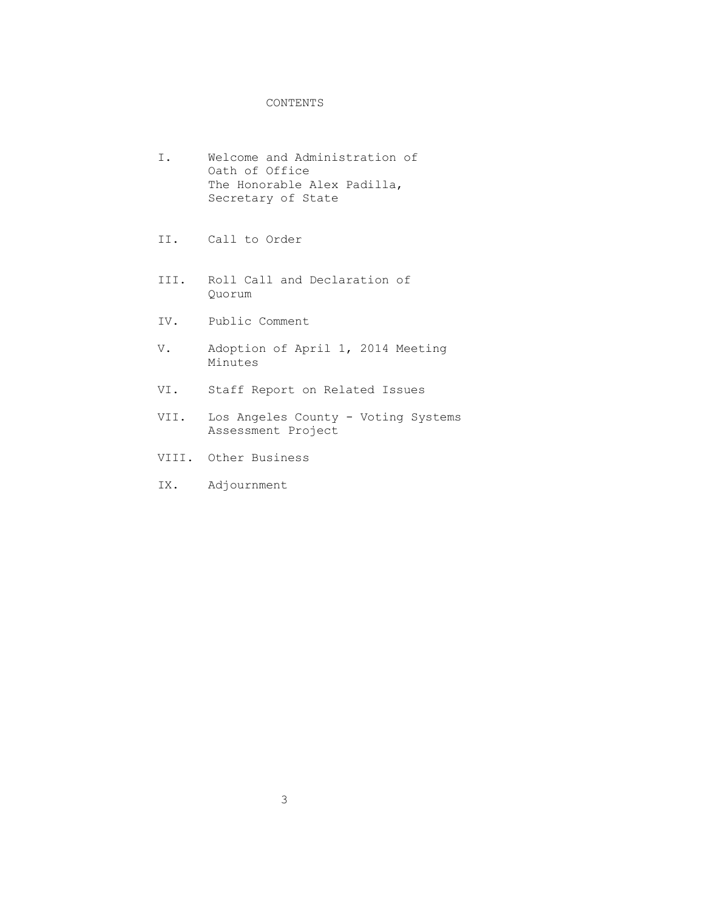## CONTENTS

- I. Welcome and Administration of Oath of Office The Honorable Alex Padilla, Secretary of State
- II. Call to Order
- III. Roll Call and Declaration of Quorum
- IV. Public Comment
- V. Adoption of April 1, 2014 Meeting Minutes
- VI. Staff Report on Related Issues
- VII. Los Angeles County Voting Systems Assessment Project
- VIII. Other Business
- IX. Adjournment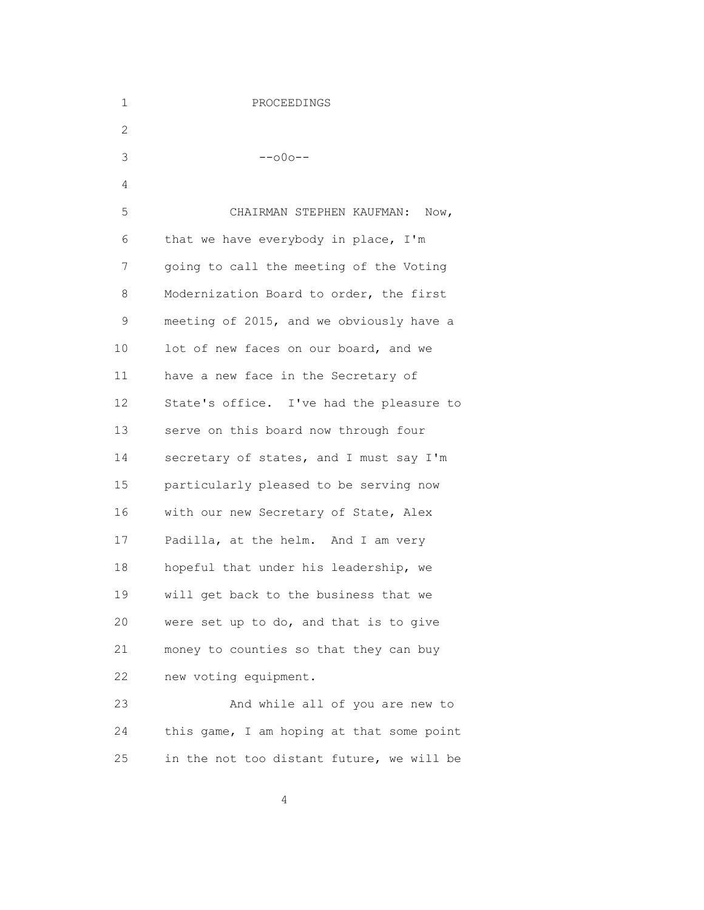| 1  | PROCEEDINGS                               |
|----|-------------------------------------------|
| 2  |                                           |
| 3  | $--000--$                                 |
| 4  |                                           |
| 5  | CHAIRMAN STEPHEN KAUFMAN:<br>Now,         |
| 6  | that we have everybody in place, I'm      |
| 7  | going to call the meeting of the Voting   |
| 8  | Modernization Board to order, the first   |
| 9  | meeting of 2015, and we obviously have a  |
| 10 | lot of new faces on our board, and we     |
| 11 | have a new face in the Secretary of       |
| 12 | State's office. I've had the pleasure to  |
| 13 | serve on this board now through four      |
| 14 | secretary of states, and I must say I'm   |
| 15 | particularly pleased to be serving now    |
| 16 | with our new Secretary of State, Alex     |
| 17 | Padilla, at the helm. And I am very       |
| 18 | hopeful that under his leadership, we     |
| 19 | will get back to the business that we     |
| 20 | were set up to do, and that is to give    |
| 21 | money to counties so that they can buy    |
| 22 | new voting equipment.                     |
| 23 | And while all of you are new to           |
| 24 | this game, I am hoping at that some point |
| 25 | in the not too distant future, we will be |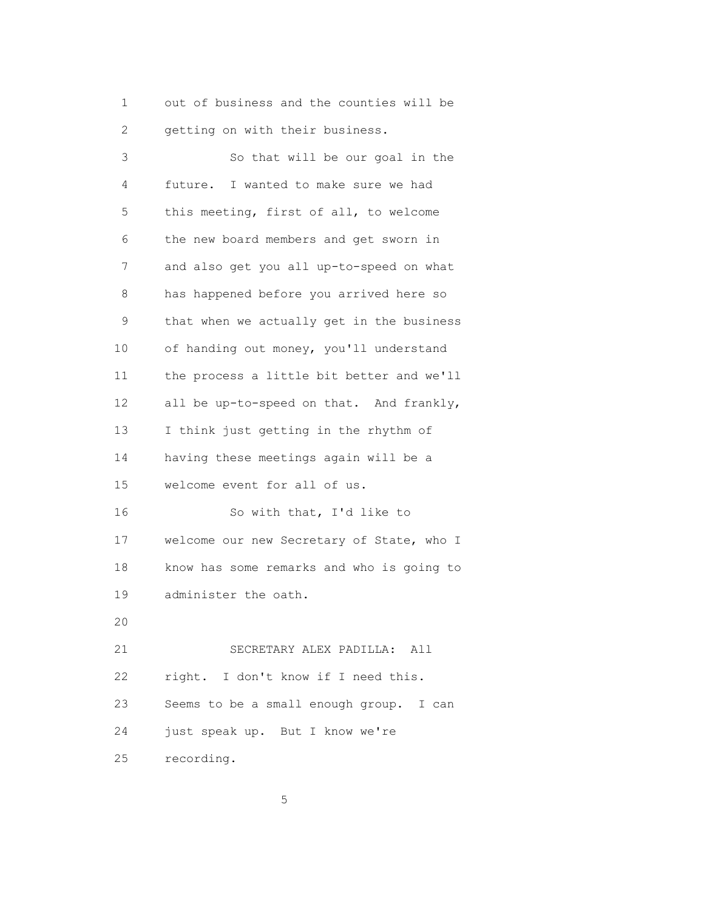1 out of business and the counties will be 2 getting on with their business.

 3 So that will be our goal in the 4 future. I wanted to make sure we had 5 this meeting, first of all, to welcome 6 the new board members and get sworn in 7 and also get you all up-to-speed on what 8 has happened before you arrived here so 9 that when we actually get in the business 10 of handing out money, you'll understand 11 the process a little bit better and we'll 12 all be up-to-speed on that. And frankly, 13 I think just getting in the rhythm of 14 having these meetings again will be a 15 welcome event for all of us. 16 So with that, I'd like to 17 welcome our new Secretary of State, who I 18 know has some remarks and who is going to 19 administer the oath. 20 21 SECRETARY ALEX PADILLA: All 22 right. I don't know if I need this. 23 Seems to be a small enough group. I can 24 just speak up. But I know we're 25 recording.

 $5<sup>th</sup>$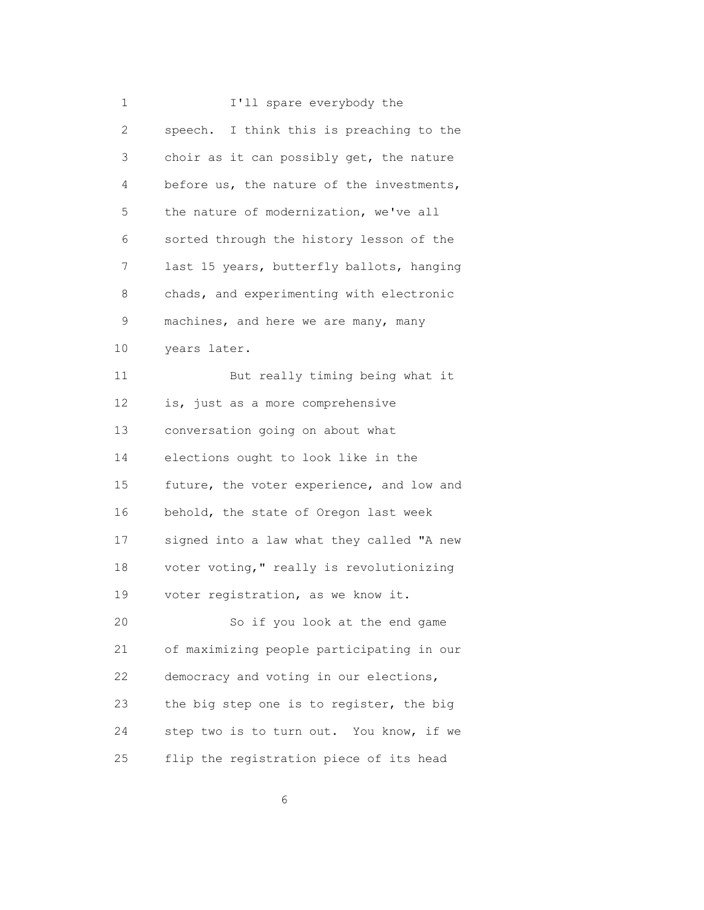| 1            | I'll spare everybody the                  |
|--------------|-------------------------------------------|
| $\mathbf{2}$ | speech. I think this is preaching to the  |
| 3            | choir as it can possibly get, the nature  |
| 4            | before us, the nature of the investments, |
| 5            | the nature of modernization, we've all    |
| 6            | sorted through the history lesson of the  |
| 7            | last 15 years, butterfly ballots, hanging |
| 8            | chads, and experimenting with electronic  |
| 9            | machines, and here we are many, many      |
| 10           | years later.                              |
| 11           | But really timing being what it           |
| 12           | is, just as a more comprehensive          |
| 13           | conversation going on about what          |
| 14           | elections ought to look like in the       |
| 15           | future, the voter experience, and low and |
| 16           | behold, the state of Oregon last week     |
| 17           | signed into a law what they called "A new |
| 18           | voter voting," really is revolutionizing  |
| 19           | voter registration, as we know it.        |
| 20           | So if you look at the end game            |
| 21           | of maximizing people participating in our |
| 22           | democracy and voting in our elections,    |
| 23           | the big step one is to register, the big  |
| 24           | step two is to turn out. You know, if we  |
| 25           | flip the registration piece of its head   |

 $\sim$  6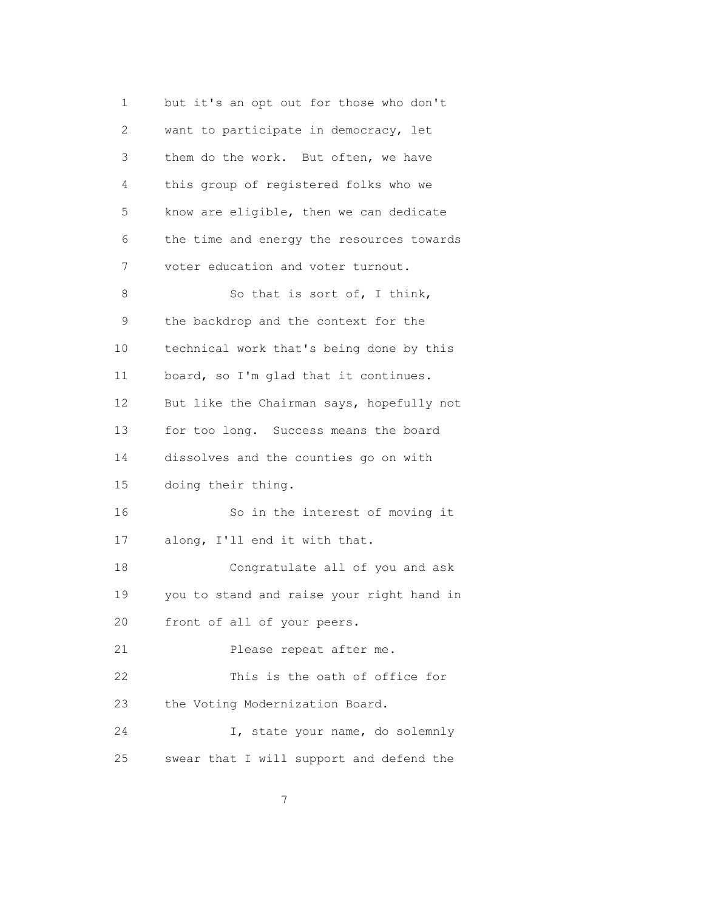1 but it's an opt out for those who don't 2 want to participate in democracy, let 3 them do the work. But often, we have 4 this group of registered folks who we 5 know are eligible, then we can dedicate 6 the time and energy the resources towards 7 voter education and voter turnout. 8 So that is sort of, I think, 9 the backdrop and the context for the 10 technical work that's being done by this 11 board, so I'm glad that it continues. 12 But like the Chairman says, hopefully not 13 for too long. Success means the board 14 dissolves and the counties go on with 15 doing their thing. 16 So in the interest of moving it 17 along, I'll end it with that. 18 Congratulate all of you and ask 19 you to stand and raise your right hand in 20 front of all of your peers. 21 Please repeat after me. 22 This is the oath of office for 23 the Voting Modernization Board. 24 I, state your name, do solemnly 25 swear that I will support and defend the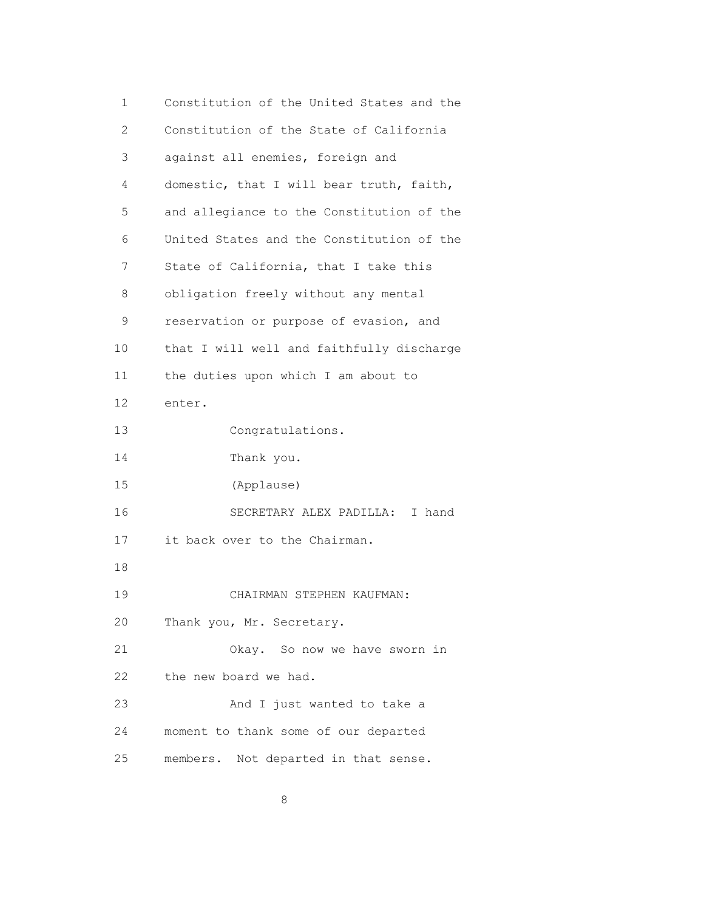1 Constitution of the United States and the 2 Constitution of the State of California 3 against all enemies, foreign and 4 domestic, that I will bear truth, faith, 5 and allegiance to the Constitution of the 6 United States and the Constitution of the 7 State of California, that I take this 8 obligation freely without any mental 9 reservation or purpose of evasion, and 10 that I will well and faithfully discharge 11 the duties upon which I am about to 12 enter. 13 Congratulations. 14 Thank you. 15 (Applause) 16 SECRETARY ALEX PADILLA: I hand 17 it back over to the Chairman. 18 19 CHAIRMAN STEPHEN KAUFMAN: 20 Thank you, Mr. Secretary. 21 Okay. So now we have sworn in 22 the new board we had. 23 And I just wanted to take a 24 moment to thank some of our departed 25 members. Not departed in that sense.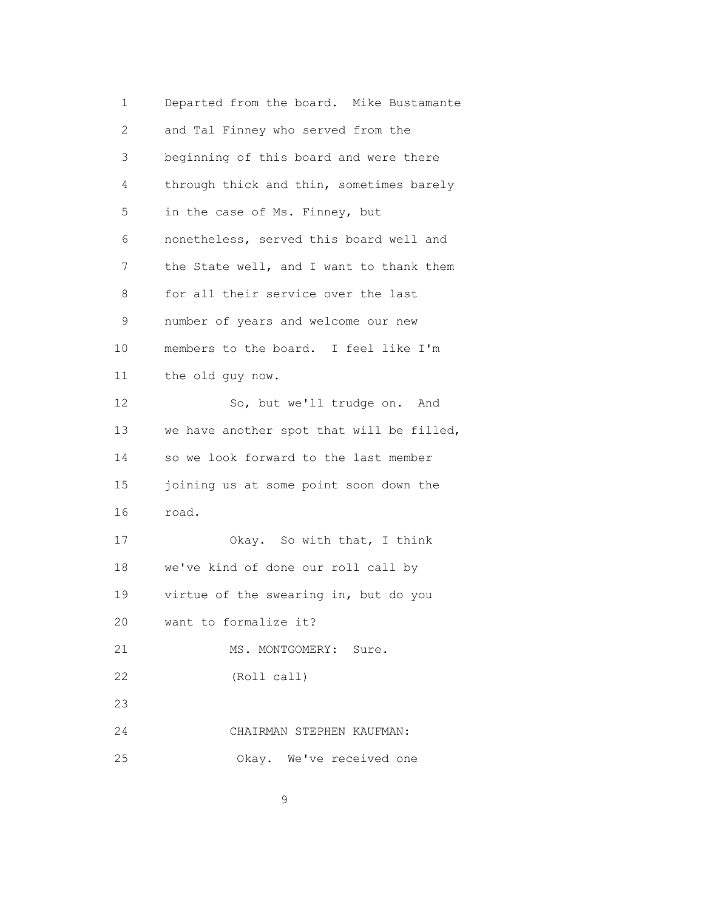1 Departed from the board. Mike Bustamante 2 and Tal Finney who served from the 3 beginning of this board and were there 4 through thick and thin, sometimes barely 5 in the case of Ms. Finney, but 6 nonetheless, served this board well and 7 the State well, and I want to thank them 8 for all their service over the last 9 number of years and welcome our new 10 members to the board. I feel like I'm 11 the old guy now. 12 So, but we'll trudge on. And 13 we have another spot that will be filled, 14 so we look forward to the last member 15 joining us at some point soon down the 16 road. 17 Okay. So with that, I think 18 we've kind of done our roll call by 19 virtue of the swearing in, but do you 20 want to formalize it? 21 MS. MONTGOMERY: Sure. 22 (Roll call) 23 24 CHAIRMAN STEPHEN KAUFMAN: 25 Okay. We've received one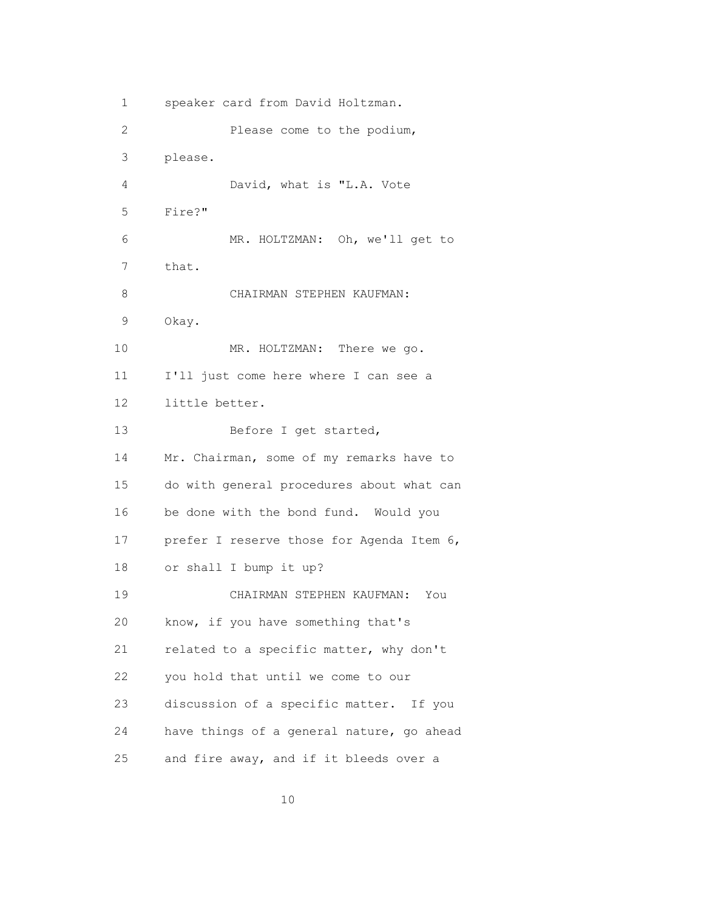1 speaker card from David Holtzman. 2 Please come to the podium, 3 please. 4 David, what is "L.A. Vote 5 Fire?" 6 MR. HOLTZMAN: Oh, we'll get to 7 that. 8 CHAIRMAN STEPHEN KAUFMAN: 9 Okay. 10 MR. HOLTZMAN: There we go. 11 I'll just come here where I can see a 12 little better. 13 Before I get started, 14 Mr. Chairman, some of my remarks have to 15 do with general procedures about what can 16 be done with the bond fund. Would you 17 prefer I reserve those for Agenda Item 6, 18 or shall I bump it up? 19 CHAIRMAN STEPHEN KAUFMAN: You 20 know, if you have something that's 21 related to a specific matter, why don't 22 you hold that until we come to our 23 discussion of a specific matter. If you 24 have things of a general nature, go ahead 25 and fire away, and if it bleeds over a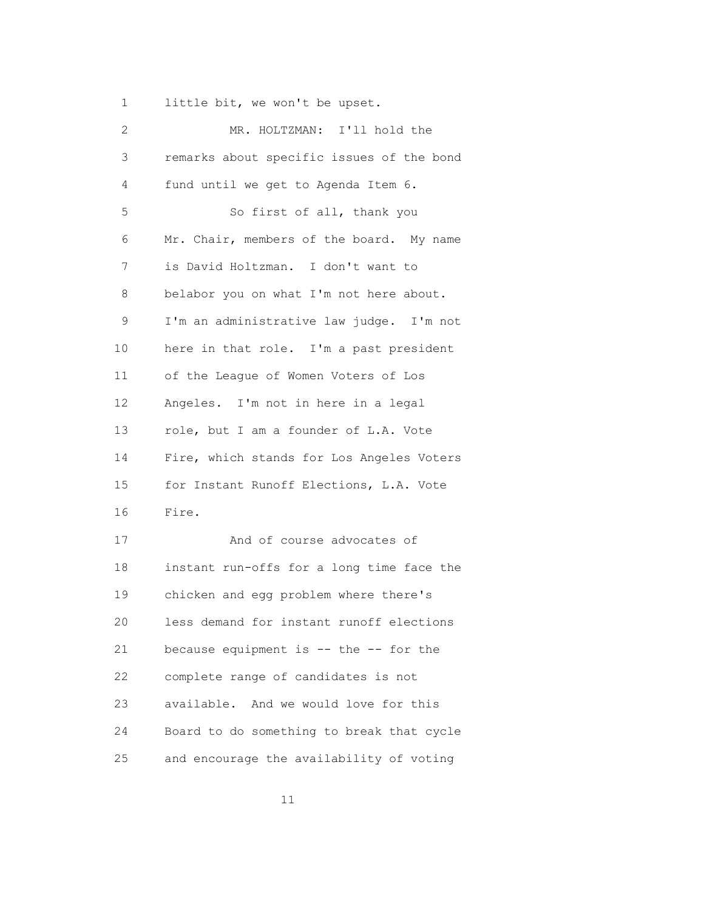1 little bit, we won't be upset.

| 2  | MR. HOLTZMAN: I'll hold the               |
|----|-------------------------------------------|
| 3  | remarks about specific issues of the bond |
| 4  | fund until we get to Agenda Item 6.       |
| 5  | So first of all, thank you                |
| 6  | Mr. Chair, members of the board. My name  |
| 7  | is David Holtzman. I don't want to        |
| 8  | belabor you on what I'm not here about.   |
| 9  | I'm an administrative law judge. I'm not  |
| 10 | here in that role. I'm a past president   |
| 11 | of the League of Women Voters of Los      |
| 12 | Angeles. I'm not in here in a legal       |
| 13 | role, but I am a founder of L.A. Vote     |
| 14 | Fire, which stands for Los Angeles Voters |
| 15 | for Instant Runoff Elections, L.A. Vote   |
| 16 | Fire.                                     |
| 17 | And of course advocates of                |
| 18 | instant run-offs for a long time face the |
| 19 | chicken and egg problem where there's     |
| 20 | less demand for instant runoff elections  |
| 21 | because equipment is -- the -- for the    |
| 22 | complete range of candidates is not       |
| 23 | available. And we would love for this     |
| 24 | Board to do something to break that cycle |
| 25 | and encourage the availability of voting  |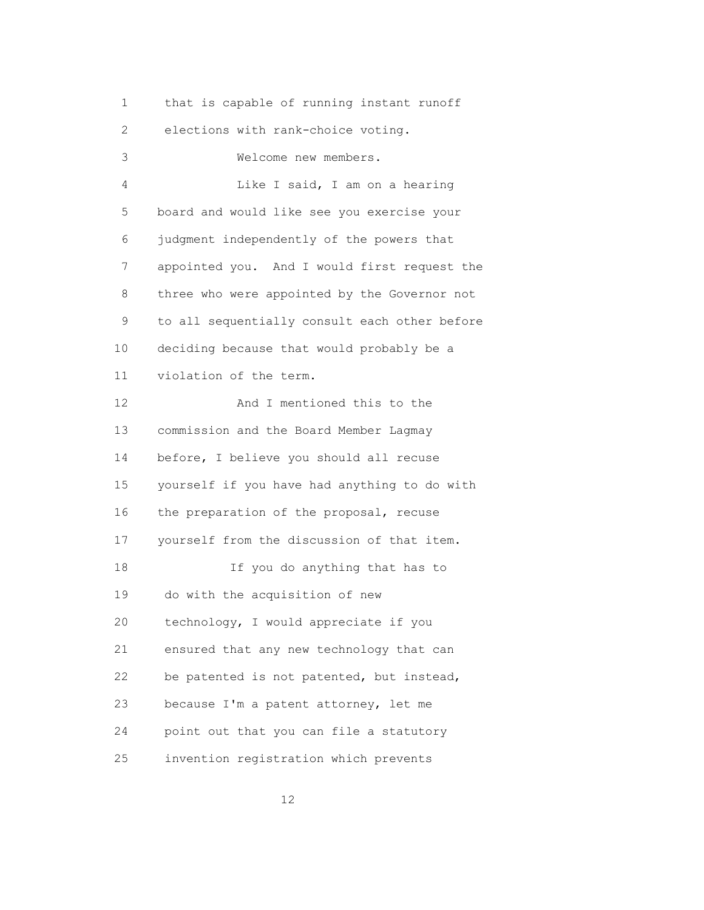1 that is capable of running instant runoff

2 elections with rank-choice voting.

 3 Welcome new members. 4 Like I said, I am on a hearing 5 board and would like see you exercise your 6 judgment independently of the powers that 7 appointed you. And I would first request the 8 three who were appointed by the Governor not 9 to all sequentially consult each other before 10 deciding because that would probably be a 11 violation of the term. 12 And I mentioned this to the 13 commission and the Board Member Lagmay 14 before, I believe you should all recuse 15 yourself if you have had anything to do with 16 the preparation of the proposal, recuse 17 yourself from the discussion of that item. 18 If you do anything that has to 19 do with the acquisition of new 20 technology, I would appreciate if you 21 ensured that any new technology that can 22 be patented is not patented, but instead, 23 because I'm a patent attorney, let me 24 point out that you can file a statutory 25 invention registration which prevents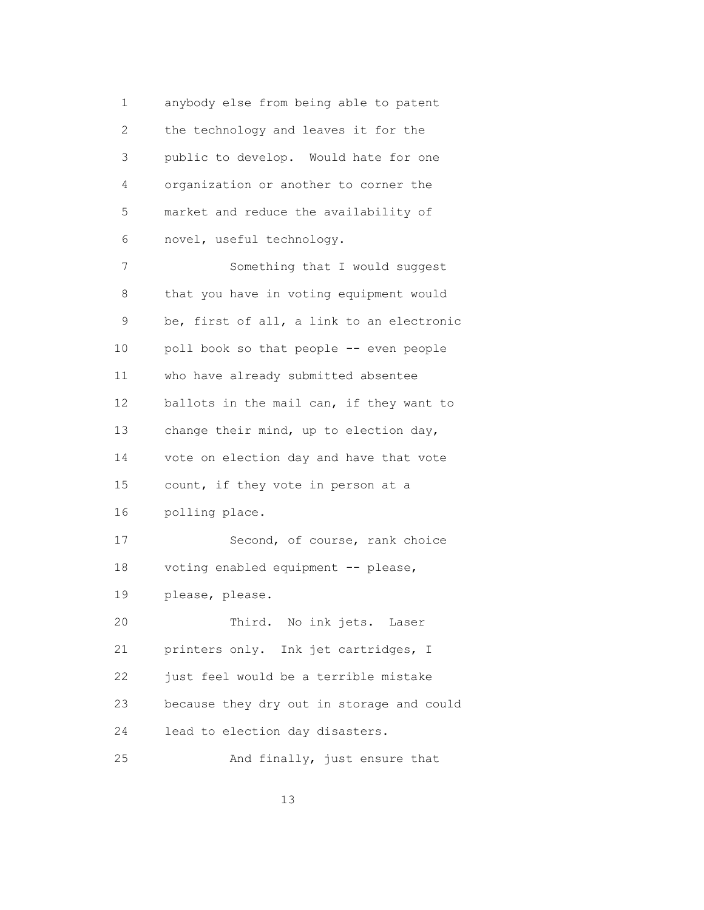1 anybody else from being able to patent 2 the technology and leaves it for the 3 public to develop. Would hate for one 4 organization or another to corner the 5 market and reduce the availability of 6 novel, useful technology.

 7 Something that I would suggest 8 that you have in voting equipment would 9 be, first of all, a link to an electronic 10 poll book so that people -- even people 11 who have already submitted absentee 12 ballots in the mail can, if they want to 13 change their mind, up to election day, 14 vote on election day and have that vote 15 count, if they vote in person at a 16 polling place. 17 Second, of course, rank choice 18 voting enabled equipment -- please, 19 please, please. 20 Third. No ink jets. Laser 21 printers only. Ink jet cartridges, I 22 just feel would be a terrible mistake 23 because they dry out in storage and could 24 lead to election day disasters. 25 And finally, just ensure that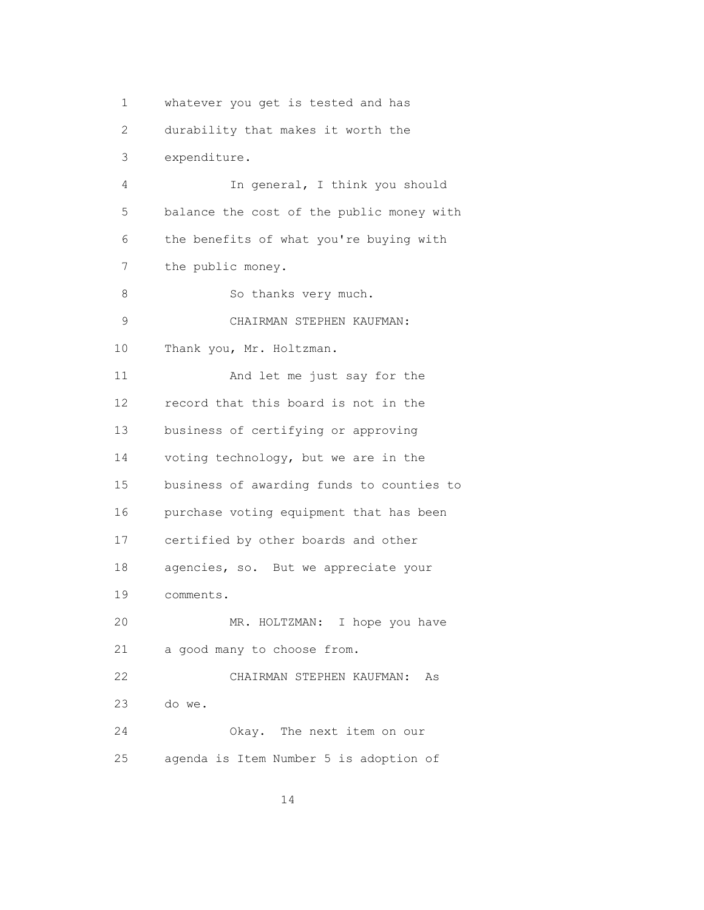1 whatever you get is tested and has 2 durability that makes it worth the 3 expenditure. 4 In general, I think you should 5 balance the cost of the public money with 6 the benefits of what you're buying with 7 the public money. 8 So thanks very much. 9 CHAIRMAN STEPHEN KAUFMAN: 10 Thank you, Mr. Holtzman. 11 And let me just say for the 12 record that this board is not in the 13 business of certifying or approving 14 voting technology, but we are in the 15 business of awarding funds to counties to 16 purchase voting equipment that has been 17 certified by other boards and other 18 agencies, so. But we appreciate your 19 comments. 20 MR. HOLTZMAN: I hope you have 21 a good many to choose from. 22 CHAIRMAN STEPHEN KAUFMAN: As 23 do we. 24 Okay. The next item on our 25 agenda is Item Number 5 is adoption of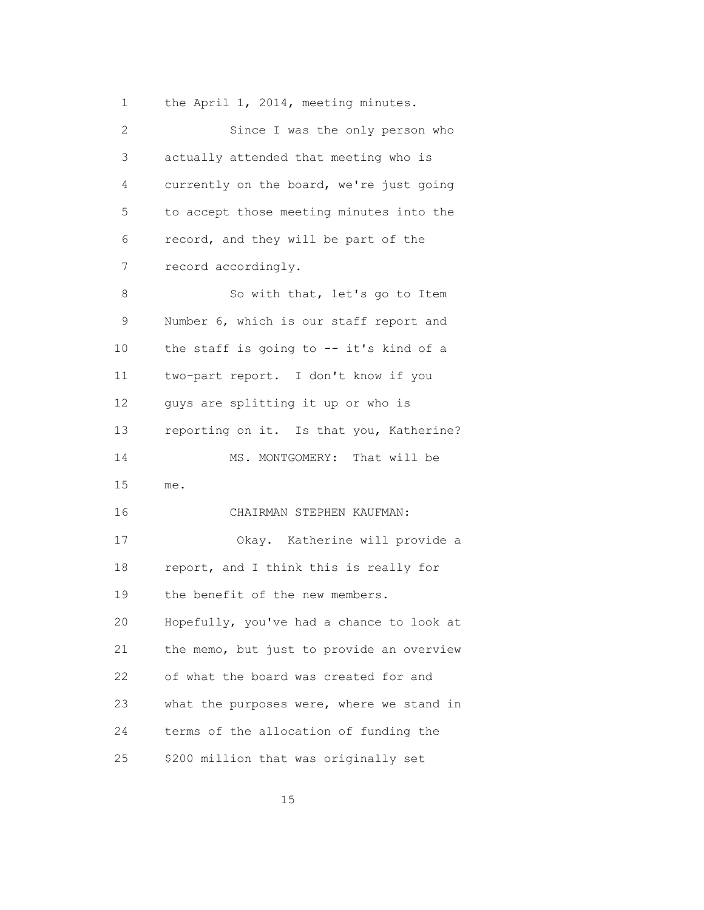1 the April 1, 2014, meeting minutes.

| 2  | Since I was the only person who           |
|----|-------------------------------------------|
| 3  | actually attended that meeting who is     |
| 4  | currently on the board, we're just going  |
| 5  | to accept those meeting minutes into the  |
| 6  | record, and they will be part of the      |
| 7  | record accordingly.                       |
| 8  | So with that, let's go to Item            |
| 9  | Number 6, which is our staff report and   |
| 10 | the staff is going to -- it's kind of a   |
| 11 | two-part report. I don't know if you      |
| 12 | guys are splitting it up or who is        |
| 13 | reporting on it. Is that you, Katherine?  |
| 14 | MS. MONTGOMERY: That will be              |
| 15 | me.                                       |
| 16 | CHAIRMAN STEPHEN KAUFMAN:                 |
| 17 | Okay. Katherine will provide a            |
| 18 | report, and I think this is really for    |
| 19 | the benefit of the new members.           |
| 20 | Hopefully, you've had a chance to look at |
| 21 | the memo, but just to provide an overview |
| 22 | of what the board was created for and     |
| 23 | what the purposes were, where we stand in |
| 24 | terms of the allocation of funding the    |
| 25 | \$200 million that was originally set     |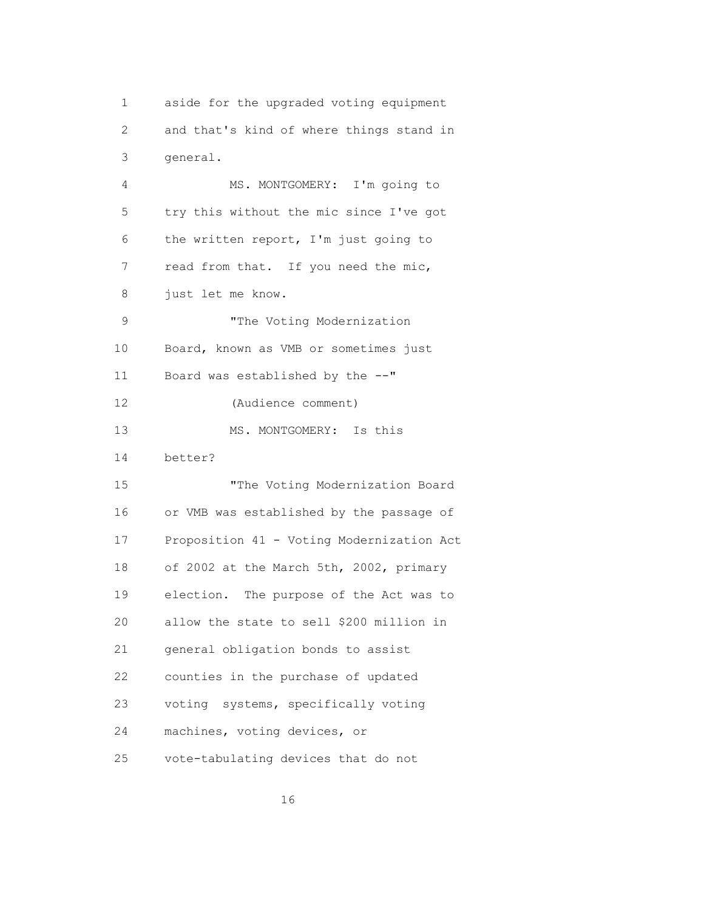1 aside for the upgraded voting equipment 2 and that's kind of where things stand in 3 general.

 4 MS. MONTGOMERY: I'm going to 5 try this without the mic since I've got 6 the written report, I'm just going to 7 read from that. If you need the mic, 8 just let me know. 9 The Voting Modernization 10 Board, known as VMB or sometimes just 11 Board was established by the --" 12 (Audience comment) 13 MS. MONTGOMERY: Is this 14 better? 15 "The Voting Modernization Board 16 or VMB was established by the passage of 17 Proposition 41 - Voting Modernization Act 18 of 2002 at the March 5th, 2002, primary 19 election. The purpose of the Act was to 20 allow the state to sell \$200 million in 21 general obligation bonds to assist 22 counties in the purchase of updated 23 voting systems, specifically voting 24 machines, voting devices, or 25 vote-tabulating devices that do not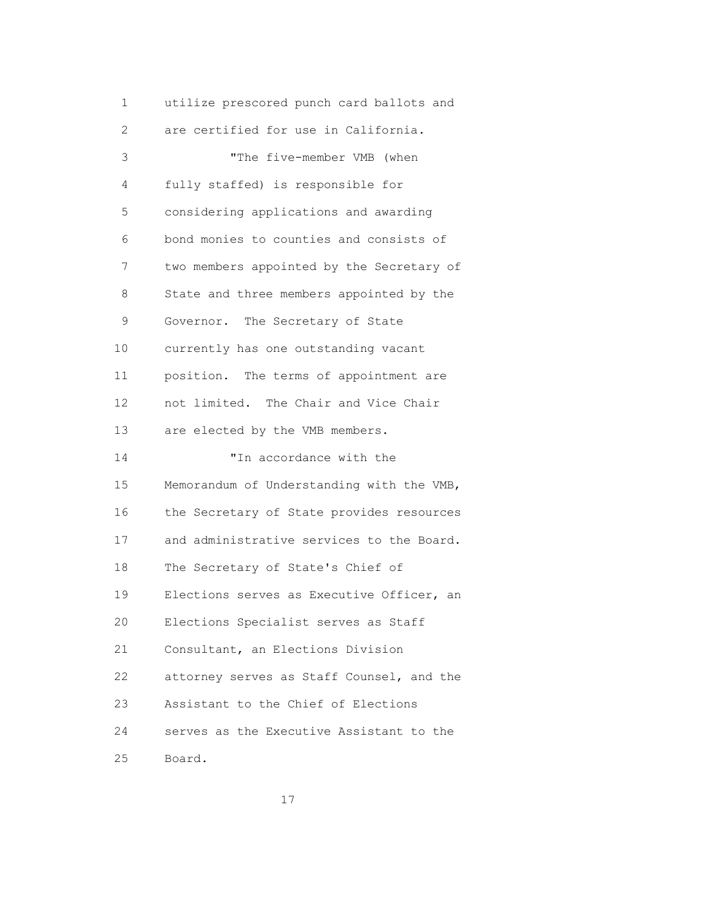| 1  | utilize prescored punch card ballots and  |
|----|-------------------------------------------|
| 2  | are certified for use in California.      |
| 3  | "The five-member VMB (when                |
| 4  | fully staffed) is responsible for         |
| 5  | considering applications and awarding     |
| 6  | bond monies to counties and consists of   |
| 7  | two members appointed by the Secretary of |
| 8  | State and three members appointed by the  |
| 9  | Governor. The Secretary of State          |
| 10 | currently has one outstanding vacant      |
| 11 | position. The terms of appointment are    |
| 12 | not limited. The Chair and Vice Chair     |
| 13 | are elected by the VMB members.           |
| 14 | "In accordance with the                   |
| 15 | Memorandum of Understanding with the VMB, |
| 16 | the Secretary of State provides resources |
| 17 | and administrative services to the Board. |
| 18 | The Secretary of State's Chief of         |
| 19 | Elections serves as Executive Officer, an |
| 20 | Elections Specialist serves as Staff      |
| 21 | Consultant, an Elections Division         |
| 22 | attorney serves as Staff Counsel, and the |
| 23 | Assistant to the Chief of Elections       |
| 24 | serves as the Executive Assistant to the  |
| 25 | Board.                                    |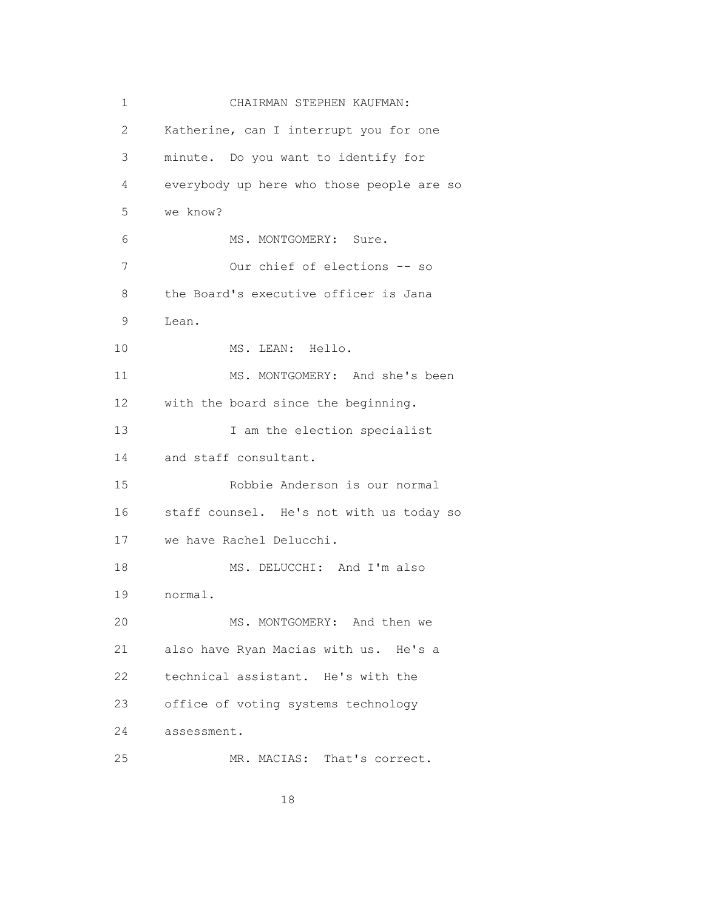| 1  | CHAIRMAN STEPHEN KAUFMAN:                 |
|----|-------------------------------------------|
| 2  | Katherine, can I interrupt you for one    |
| 3  | minute. Do you want to identify for       |
| 4  | everybody up here who those people are so |
| 5  | we know?                                  |
| 6  | MS. MONTGOMERY: Sure.                     |
| 7  | Our chief of elections -- so              |
| 8  | the Board's executive officer is Jana     |
| 9  | Lean.                                     |
| 10 | MS. LEAN: Hello.                          |
| 11 | MS. MONTGOMERY: And she's been            |
| 12 | with the board since the beginning.       |
| 13 | I am the election specialist              |
| 14 | and staff consultant.                     |
| 15 | Robbie Anderson is our normal             |
| 16 | staff counsel. He's not with us today so  |
| 17 | we have Rachel Delucchi.                  |
| 18 | MS. DELUCCHI: And I'm also                |
| 19 | normal.                                   |
| 20 | MS. MONTGOMERY: And then we               |
| 21 | also have Ryan Macias with us. He's a     |
| 22 | technical assistant. He's with the        |
| 23 | office of voting systems technology       |
| 24 | assessment.                               |
| 25 | MR. MACIAS: That's correct.               |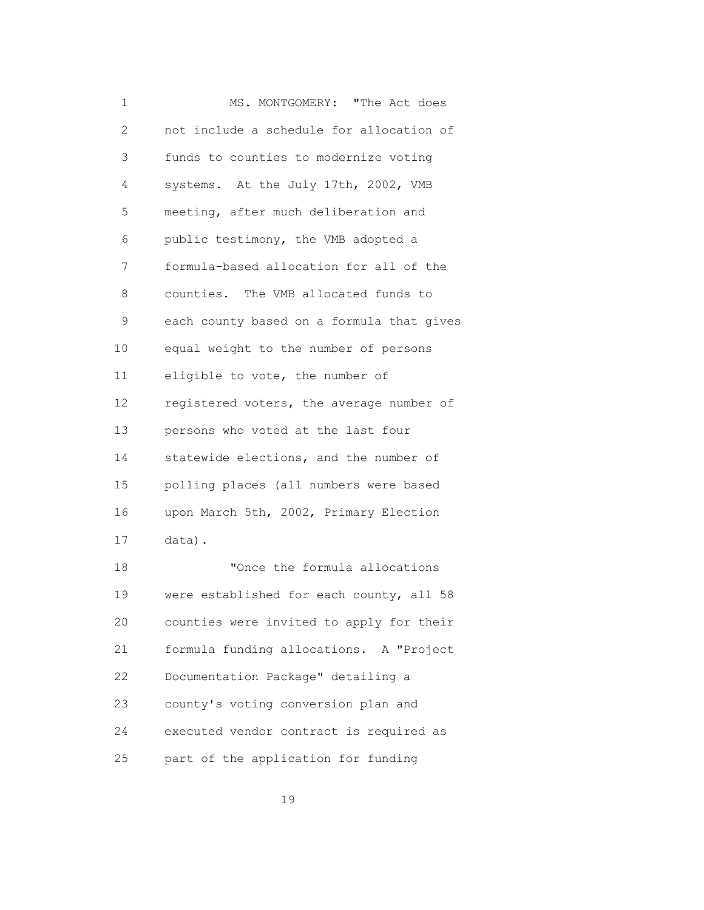1 MS. MONTGOMERY: "The Act does 2 not include a schedule for allocation of 3 funds to counties to modernize voting 4 systems. At the July 17th, 2002, VMB 5 meeting, after much deliberation and 6 public testimony, the VMB adopted a 7 formula-based allocation for all of the 8 counties. The VMB allocated funds to 9 each county based on a formula that gives 10 equal weight to the number of persons 11 eligible to vote, the number of 12 registered voters, the average number of 13 persons who voted at the last four 14 statewide elections, and the number of 15 polling places (all numbers were based 16 upon March 5th, 2002, Primary Election 17 data). 18 "Once the formula allocations 19 were established for each county, all 58 20 counties were invited to apply for their 21 formula funding allocations. A "Project 22 Documentation Package" detailing a 23 county's voting conversion plan and 24 executed vendor contract is required as 25 part of the application for funding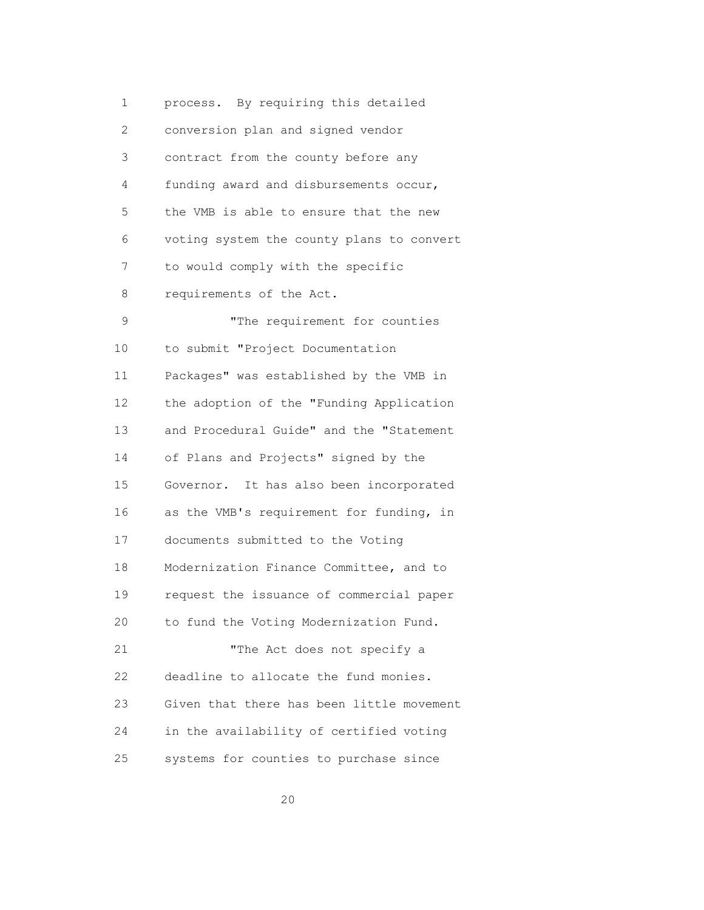1 process. By requiring this detailed 2 conversion plan and signed vendor 3 contract from the county before any 4 funding award and disbursements occur, 5 the VMB is able to ensure that the new 6 voting system the county plans to convert 7 to would comply with the specific 8 requirements of the Act. 9 The requirement for counties 10 to submit "Project Documentation 11 Packages" was established by the VMB in 12 the adoption of the "Funding Application 13 and Procedural Guide" and the "Statement 14 of Plans and Projects" signed by the 15 Governor. It has also been incorporated 16 as the VMB's requirement for funding, in 17 documents submitted to the Voting 18 Modernization Finance Committee, and to 19 request the issuance of commercial paper 20 to fund the Voting Modernization Fund. 21 "The Act does not specify a 22 deadline to allocate the fund monies. 23 Given that there has been little movement 24 in the availability of certified voting 25 systems for counties to purchase since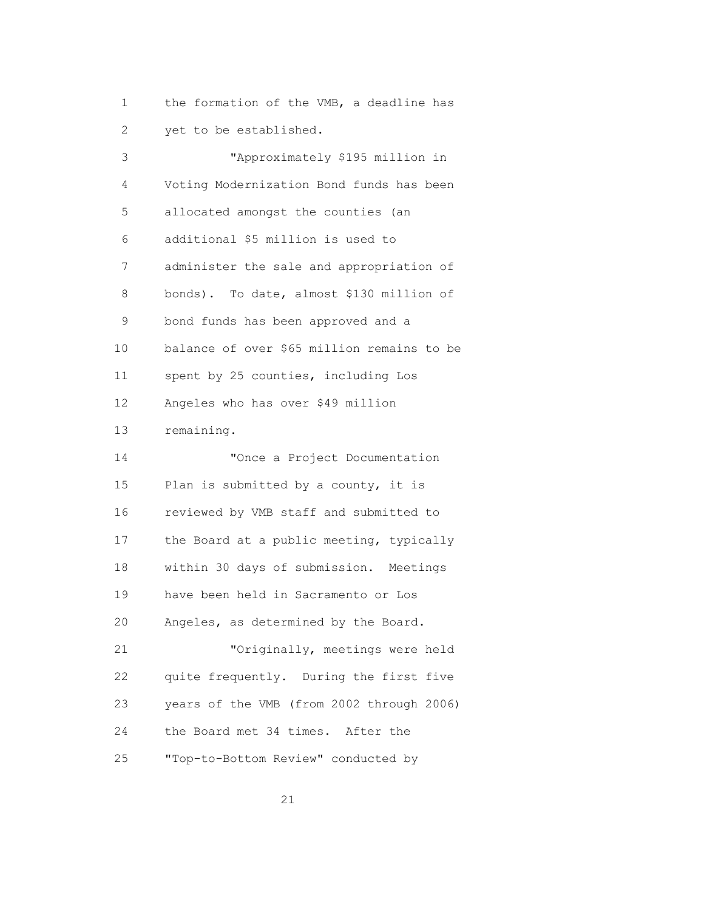1 the formation of the VMB, a deadline has 2 yet to be established.

 3 "Approximately \$195 million in 4 Voting Modernization Bond funds has been 5 allocated amongst the counties (an 6 additional \$5 million is used to 7 administer the sale and appropriation of 8 bonds). To date, almost \$130 million of 9 bond funds has been approved and a 10 balance of over \$65 million remains to be 11 spent by 25 counties, including Los 12 Angeles who has over \$49 million 13 remaining. 14 "Once a Project Documentation 15 Plan is submitted by a county, it is 16 reviewed by VMB staff and submitted to 17 the Board at a public meeting, typically 18 within 30 days of submission. Meetings 19 have been held in Sacramento or Los 20 Angeles, as determined by the Board. 21 "Originally, meetings were held 22 quite frequently. During the first five 23 years of the VMB (from 2002 through 2006) 24 the Board met 34 times. After the 25 "Top-to-Bottom Review" conducted by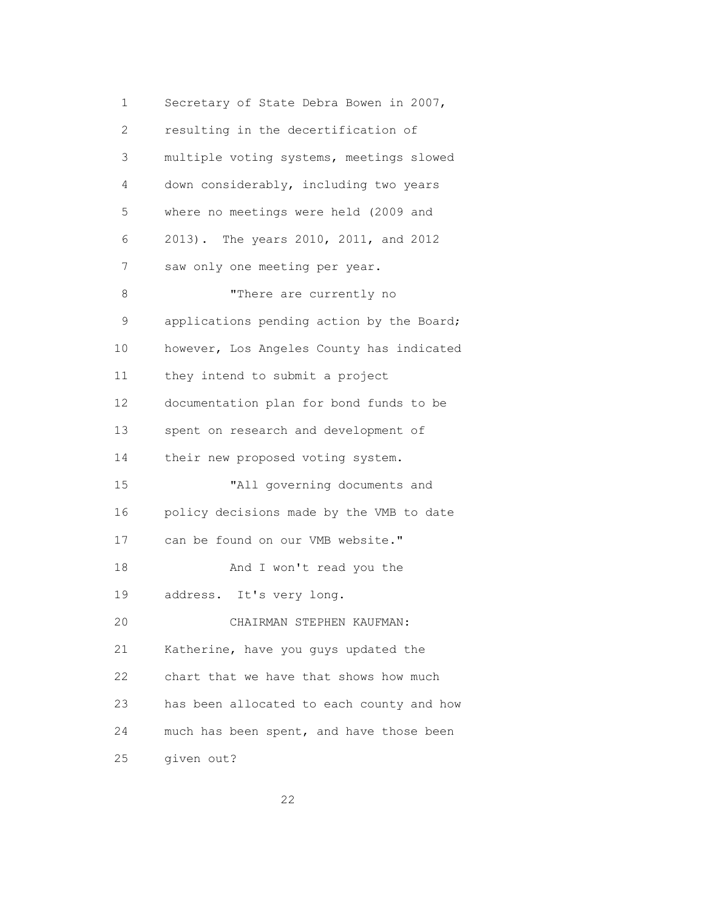1 Secretary of State Debra Bowen in 2007, 2 resulting in the decertification of 3 multiple voting systems, meetings slowed 4 down considerably, including two years 5 where no meetings were held (2009 and 6 2013). The years 2010, 2011, and 2012 7 saw only one meeting per year. 8 There are currently no 9 applications pending action by the Board; 10 however, Los Angeles County has indicated 11 they intend to submit a project 12 documentation plan for bond funds to be 13 spent on research and development of 14 their new proposed voting system. 15 "All governing documents and 16 policy decisions made by the VMB to date 17 can be found on our VMB website." 18 And I won't read you the 19 address. It's very long. 20 CHAIRMAN STEPHEN KAUFMAN: 21 Katherine, have you guys updated the 22 chart that we have that shows how much 23 has been allocated to each county and how 24 much has been spent, and have those been 25 given out?

<u>22</u>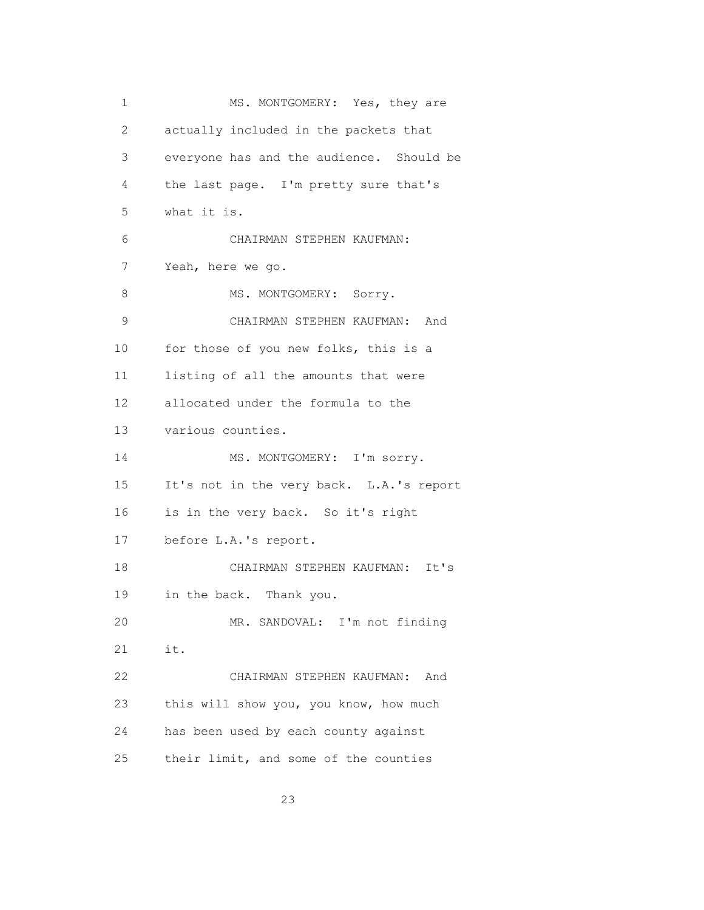| 1            | MS. MONTGOMERY: Yes, they are            |
|--------------|------------------------------------------|
| $\mathbf{2}$ | actually included in the packets that    |
| 3            | everyone has and the audience. Should be |
| 4            | the last page. I'm pretty sure that's    |
| 5            | what it is.                              |
| 6            | CHAIRMAN STEPHEN KAUFMAN:                |
| 7            | Yeah, here we go.                        |
| 8            | MS. MONTGOMERY: Sorry.                   |
| 9            | CHAIRMAN STEPHEN KAUFMAN: And            |
| 10           | for those of you new folks, this is a    |
| 11           | listing of all the amounts that were     |
| 12           | allocated under the formula to the       |
| 13           | various counties.                        |
| 14           | MS. MONTGOMERY: I'm sorry.               |
| 15           | It's not in the very back. L.A.'s report |
| 16           | is in the very back. So it's right       |
| 17           | before L.A.'s report.                    |
| 18           | CHAIRMAN STEPHEN KAUFMAN:<br>It's        |
| 19           | in the back. Thank you.                  |
| 20           | MR. SANDOVAL: I'm not finding            |
| 21           | it.                                      |
| 22           | CHAIRMAN STEPHEN KAUFMAN:<br>And         |
| 23           | this will show you, you know, how much   |
| 24           | has been used by each county against     |
| 25           | their limit, and some of the counties    |

<u>23</u>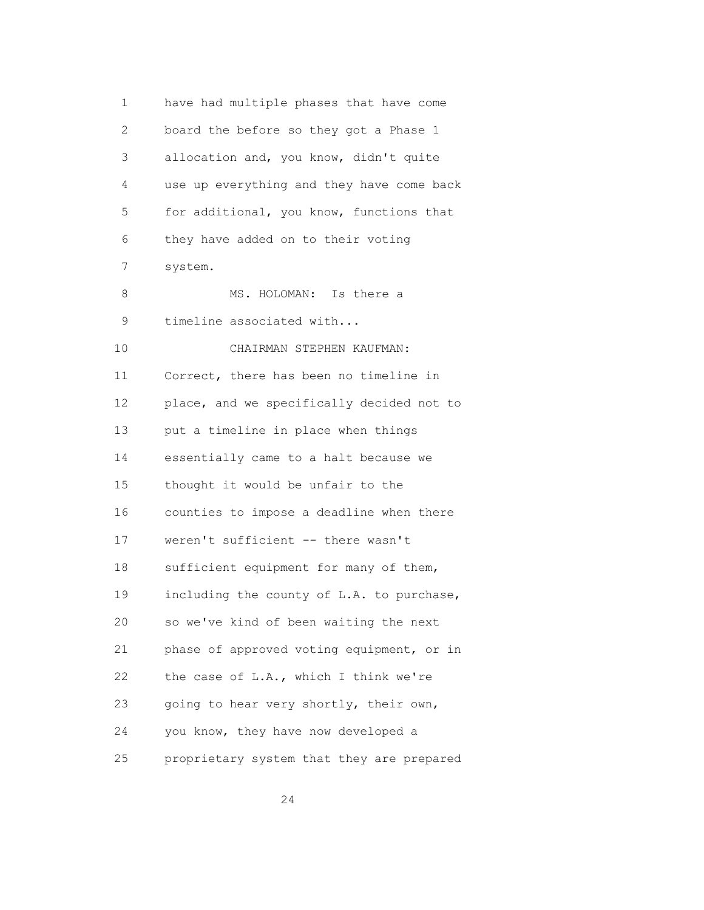| 1              | have had multiple phases that have come   |
|----------------|-------------------------------------------|
| $\overline{2}$ | board the before so they got a Phase 1    |
| 3              | allocation and, you know, didn't quite    |
| 4              | use up everything and they have come back |
| 5              | for additional, you know, functions that  |
| 6              | they have added on to their voting        |
| 7              | system.                                   |
| 8              | MS. HOLOMAN: Is there a                   |
| 9              | timeline associated with                  |
| 10             | CHAIRMAN STEPHEN KAUFMAN:                 |
| 11             | Correct, there has been no timeline in    |
| 12             | place, and we specifically decided not to |
| 13             | put a timeline in place when things       |
| 14             | essentially came to a halt because we     |
| 15             | thought it would be unfair to the         |
| 16             | counties to impose a deadline when there  |
| 17             | weren't sufficient -- there wasn't        |
| 18             | sufficient equipment for many of them,    |
| 19             | including the county of L.A. to purchase, |
| 20             | so we've kind of been waiting the next    |
| 21             | phase of approved voting equipment, or in |
| 22             | the case of L.A., which I think we're     |
| 23             | going to hear very shortly, their own,    |
| 24             | you know, they have now developed a       |
| 25             | proprietary system that they are prepared |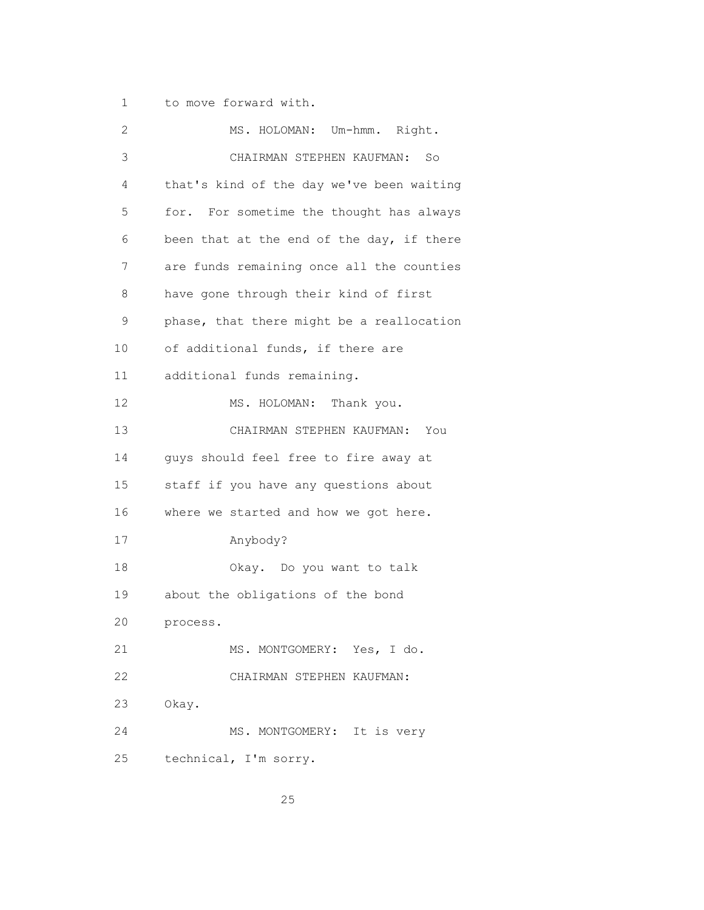1 to move forward with.

| 2  | MS. HOLOMAN: Um-hmm. Right.               |
|----|-------------------------------------------|
| 3  | CHAIRMAN STEPHEN KAUFMAN: So              |
| 4  | that's kind of the day we've been waiting |
| 5  | for. For sometime the thought has always  |
| 6  | been that at the end of the day, if there |
| 7  | are funds remaining once all the counties |
| 8  | have gone through their kind of first     |
| 9  | phase, that there might be a reallocation |
| 10 | of additional funds, if there are         |
| 11 | additional funds remaining.               |
| 12 | MS. HOLOMAN: Thank you.                   |
| 13 | CHAIRMAN STEPHEN KAUFMAN:<br>You          |
| 14 | guys should feel free to fire away at     |
| 15 | staff if you have any questions about     |
| 16 | where we started and how we got here.     |
| 17 | Anybody?                                  |
| 18 | Okay. Do you want to talk                 |
| 19 | about the obligations of the bond         |
| 20 | process.                                  |
| 21 | MS. MONTGOMERY: Yes, I do.                |
| 22 | CHAIRMAN STEPHEN KAUFMAN:                 |
| 23 | Okay.                                     |
| 24 | MS. MONTGOMERY: It is very                |
| 25 | technical, I'm sorry.                     |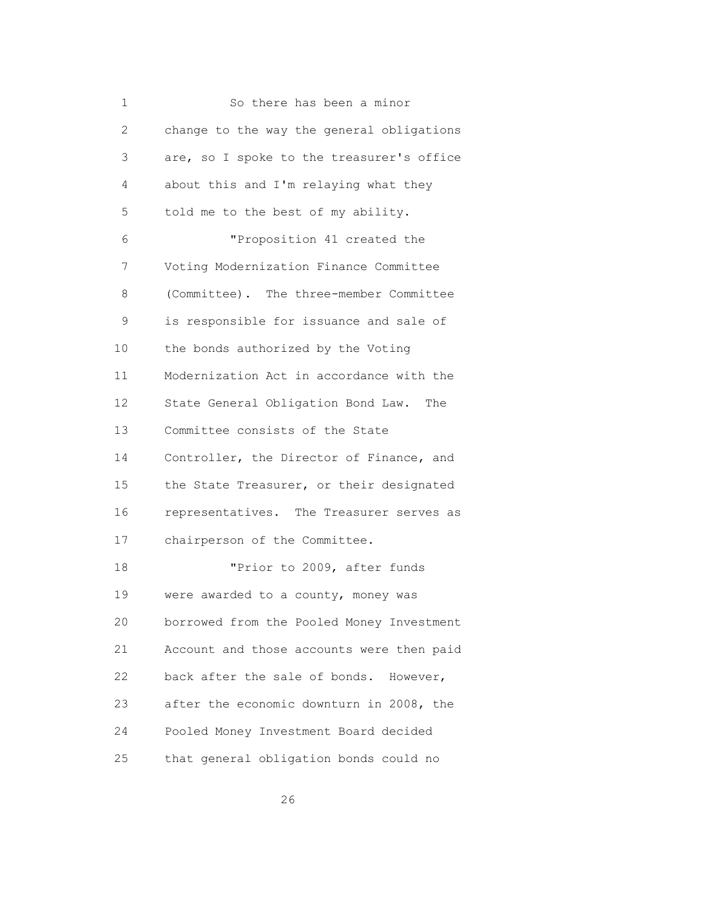| 1              | So there has been a minor                 |
|----------------|-------------------------------------------|
| $\overline{2}$ | change to the way the general obligations |
| 3              | are, so I spoke to the treasurer's office |
| 4              | about this and I'm relaying what they     |
| 5              | told me to the best of my ability.        |
| 6              | "Proposition 41 created the               |
| 7              | Voting Modernization Finance Committee    |
| 8              | (Committee). The three-member Committee   |
| 9              | is responsible for issuance and sale of   |
| 10             | the bonds authorized by the Voting        |
| 11             | Modernization Act in accordance with the  |
| 12             | State General Obligation Bond Law.<br>The |
| 13             | Committee consists of the State           |
| 14             | Controller, the Director of Finance, and  |
| 15             | the State Treasurer, or their designated  |
| 16             | representatives. The Treasurer serves as  |
| 17             | chairperson of the Committee.             |
| 18             | "Prior to 2009, after funds               |
| 19             | were awarded to a county, money was       |
| 20             | borrowed from the Pooled Money Investment |
| 21             | Account and those accounts were then paid |
| 22             | back after the sale of bonds.<br>However, |
| 23             | after the economic downturn in 2008, the  |
| 24             | Pooled Money Investment Board decided     |
| 25             | that general obligation bonds could no    |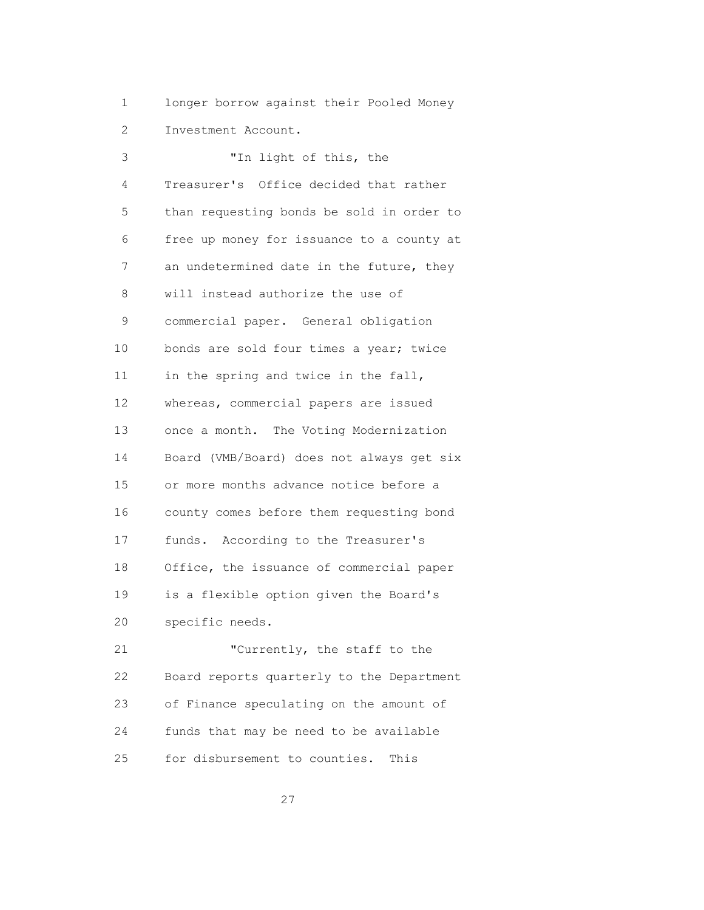1 longer borrow against their Pooled Money

2 Investment Account.

| 3  | "In light of this, the                    |
|----|-------------------------------------------|
| 4  | Treasurer's Office decided that rather    |
| 5  | than requesting bonds be sold in order to |
| 6  | free up money for issuance to a county at |
| 7  | an undetermined date in the future, they  |
| 8  | will instead authorize the use of         |
| 9  | commercial paper. General obligation      |
| 10 | bonds are sold four times a year; twice   |
| 11 | in the spring and twice in the fall,      |
| 12 | whereas, commercial papers are issued     |
| 13 | once a month. The Voting Modernization    |
| 14 | Board (VMB/Board) does not always get six |
| 15 | or more months advance notice before a    |
| 16 | county comes before them requesting bond  |
| 17 | funds. According to the Treasurer's       |
| 18 | Office, the issuance of commercial paper  |
| 19 | is a flexible option given the Board's    |
| 20 | specific needs.                           |
| 21 | "Currently, the staff to the              |
| 22 | Board reports quarterly to the Department |
| 23 | of Finance speculating on the amount of   |
| 24 | funds that may be need to be available    |

25 for disbursement to counties. This

<u>27</u>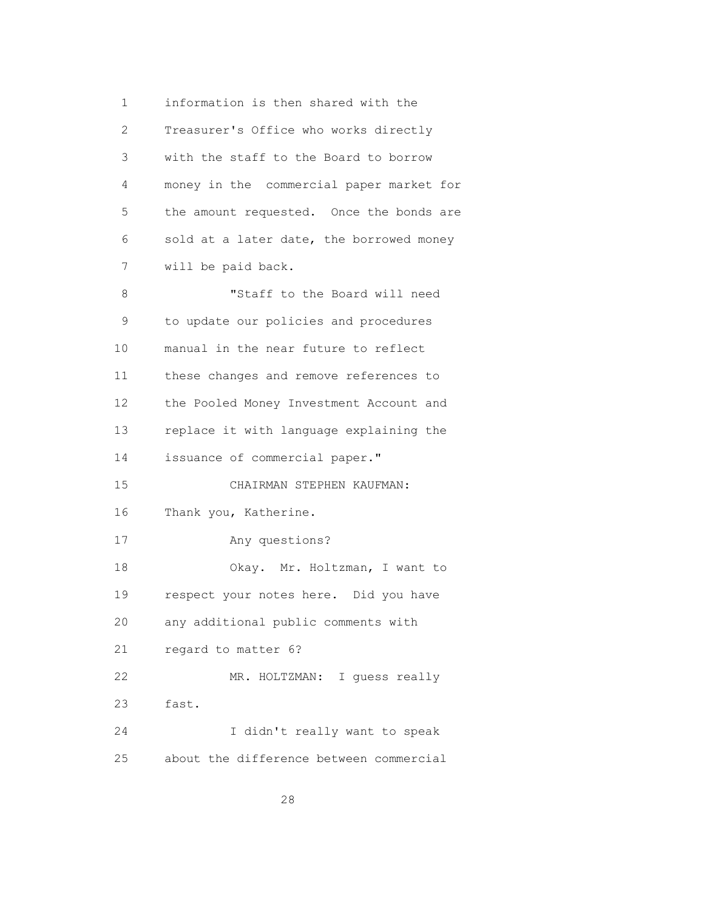1 information is then shared with the 2 Treasurer's Office who works directly 3 with the staff to the Board to borrow 4 money in the commercial paper market for 5 the amount requested. Once the bonds are 6 sold at a later date, the borrowed money 7 will be paid back. 8 "Staff to the Board will need 9 to update our policies and procedures 10 manual in the near future to reflect 11 these changes and remove references to 12 the Pooled Money Investment Account and 13 replace it with language explaining the 14 issuance of commercial paper." 15 CHAIRMAN STEPHEN KAUFMAN: 16 Thank you, Katherine. 17 Any questions? 18 Okay. Mr. Holtzman, I want to 19 respect your notes here. Did you have 20 any additional public comments with 21 regard to matter 6? 22 MR. HOLTZMAN: I guess really 23 fast. 24 I didn't really want to speak 25 about the difference between commercial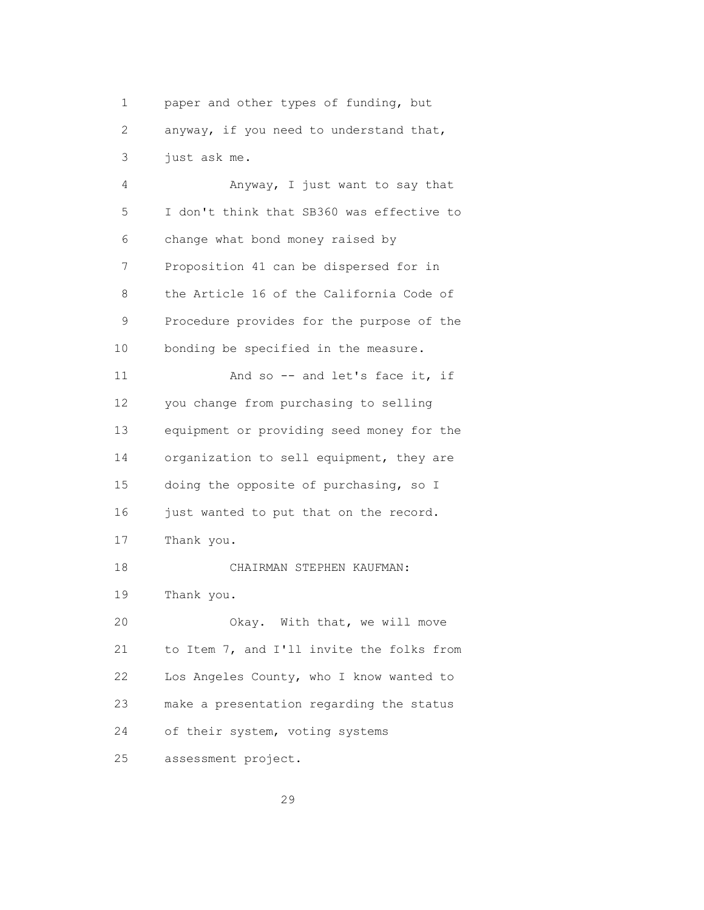1 paper and other types of funding, but 2 anyway, if you need to understand that, 3 just ask me.

 4 Anyway, I just want to say that 5 I don't think that SB360 was effective to 6 change what bond money raised by 7 Proposition 41 can be dispersed for in 8 the Article 16 of the California Code of 9 Procedure provides for the purpose of the 10 bonding be specified in the measure. 11 And so -- and let's face it, if 12 you change from purchasing to selling 13 equipment or providing seed money for the 14 organization to sell equipment, they are 15 doing the opposite of purchasing, so I 16 just wanted to put that on the record. 17 Thank you. 18 CHAIRMAN STEPHEN KAUFMAN: 19 Thank you. 20 Okay. With that, we will move 21 to Item 7, and I'll invite the folks from 22 Los Angeles County, who I know wanted to 23 make a presentation regarding the status 24 of their system, voting systems 25 assessment project.

<u>29</u>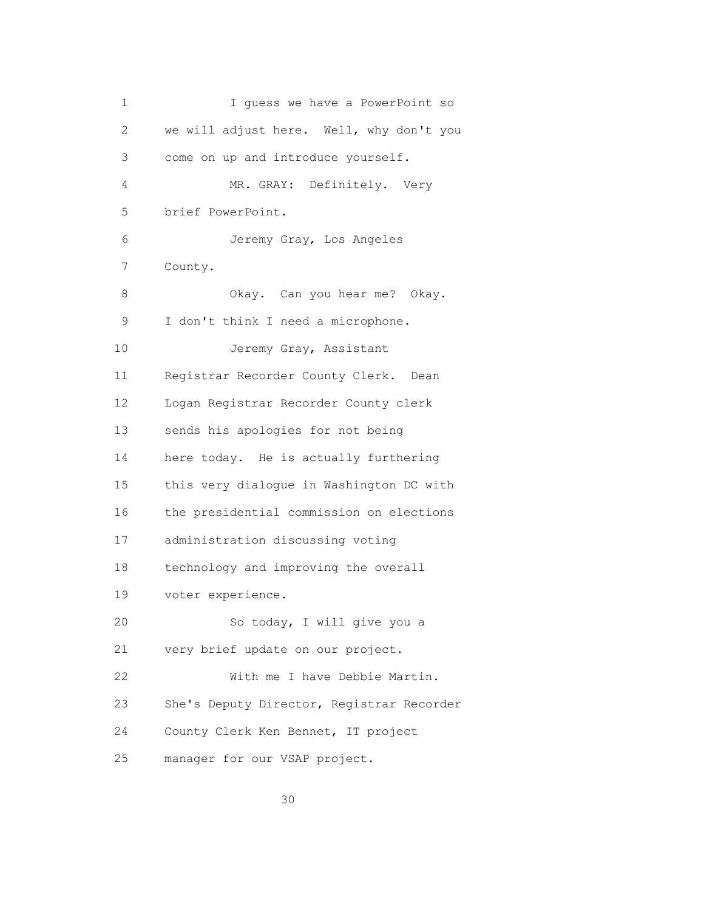| 1  | I quess we have a PowerPoint so           |
|----|-------------------------------------------|
| 2  | we will adjust here. Well, why don't you  |
| 3  | come on up and introduce yourself.        |
| 4  | MR. GRAY: Definitely. Very                |
| 5  | brief PowerPoint.                         |
| 6  | Jeremy Gray, Los Angeles                  |
| 7  | County.                                   |
| 8  | Okay. Can you hear me? Okay.              |
| 9  | I don't think I need a microphone.        |
| 10 | Jeremy Gray, Assistant                    |
| 11 | Registrar Recorder County Clerk. Dean     |
| 12 | Logan Registrar Recorder County clerk     |
| 13 | sends his apologies for not being         |
| 14 | here today. He is actually furthering     |
| 15 | this very dialogue in Washington DC with  |
| 16 | the presidential commission on elections  |
| 17 | administration discussing voting          |
| 18 | technology and improving the overall      |
| 19 | voter experience.                         |
| 20 | So today, I will give you a               |
| 21 | very brief update on our project.         |
| 22 | With me I have Debbie Martin.             |
| 23 | She's Deputy Director, Registrar Recorder |
| 24 | County Clerk Ken Bennet, IT project       |
| 25 | manager for our VSAP project.             |

<u>30</u>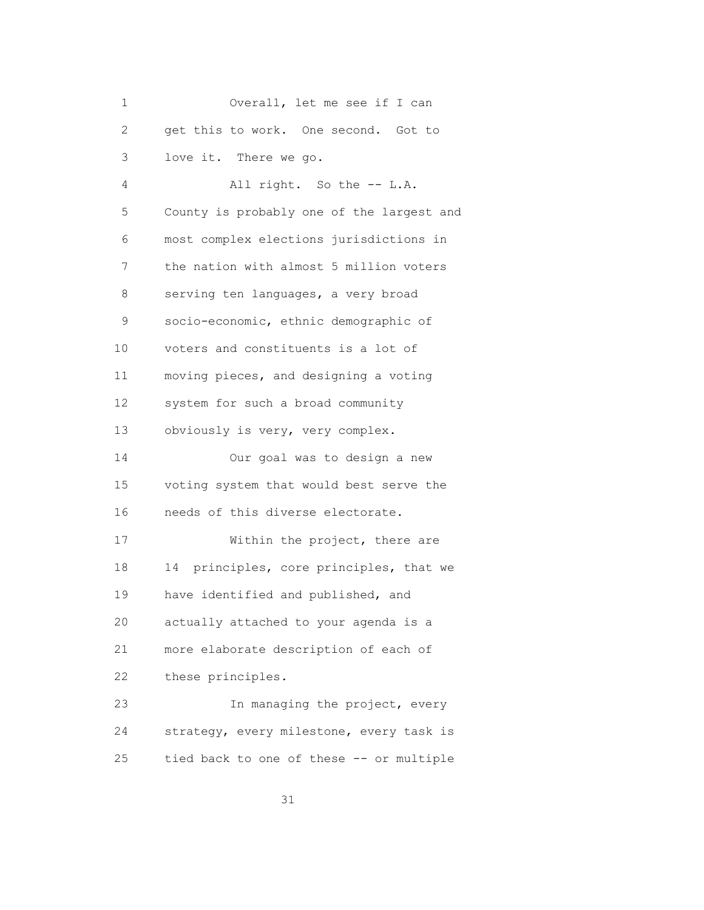| 1              | Overall, let me see if I can               |
|----------------|--------------------------------------------|
| 2              | get this to work. One second. Got to       |
| 3              | love it. There we go.                      |
| $\overline{4}$ | All right. So the -- L.A.                  |
| 5              | County is probably one of the largest and  |
| 6              | most complex elections jurisdictions in    |
| 7              | the nation with almost 5 million voters    |
| 8              | serving ten languages, a very broad        |
| 9              | socio-economic, ethnic demographic of      |
| 10             | voters and constituents is a lot of        |
| 11             | moving pieces, and designing a voting      |
| 12             | system for such a broad community          |
| 13             | obviously is very, very complex.           |
| 14             | Our goal was to design a new               |
| 15             | voting system that would best serve the    |
| 16             | needs of this diverse electorate.          |
| 17             | Within the project, there are              |
| 18             | principles, core principles, that we<br>14 |
| 19             | have identified and published, and         |
| 20             | actually attached to your agenda is a      |
| 21             | more elaborate description of each of      |
| 22             | these principles.                          |
| 23             | In managing the project, every             |
| 24             | strategy, every milestone, every task is   |
| 25             | tied back to one of these -- or multiple   |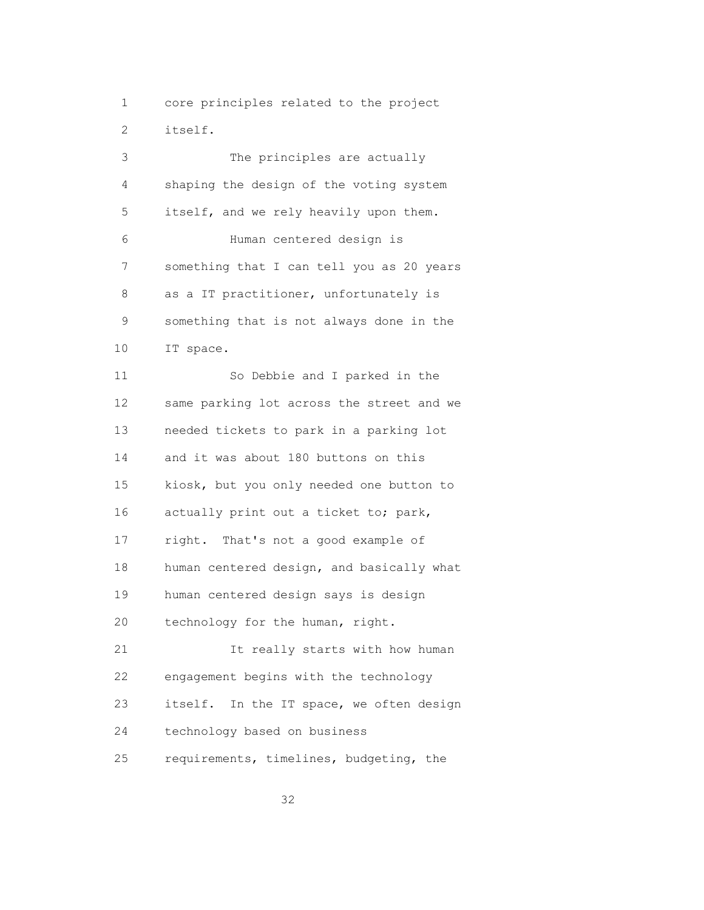1 core principles related to the project 2 itself.

 3 The principles are actually 4 shaping the design of the voting system 5 itself, and we rely heavily upon them. 6 Human centered design is 7 something that I can tell you as 20 years 8 as a IT practitioner, unfortunately is 9 something that is not always done in the 10 IT space. 11 So Debbie and I parked in the 12 same parking lot across the street and we 13 needed tickets to park in a parking lot 14 and it was about 180 buttons on this 15 kiosk, but you only needed one button to 16 actually print out a ticket to; park, 17 right. That's not a good example of 18 human centered design, and basically what 19 human centered design says is design 20 technology for the human, right. 21 It really starts with how human 22 engagement begins with the technology 23 itself. In the IT space, we often design 24 technology based on business 25 requirements, timelines, budgeting, the

<u>32</u>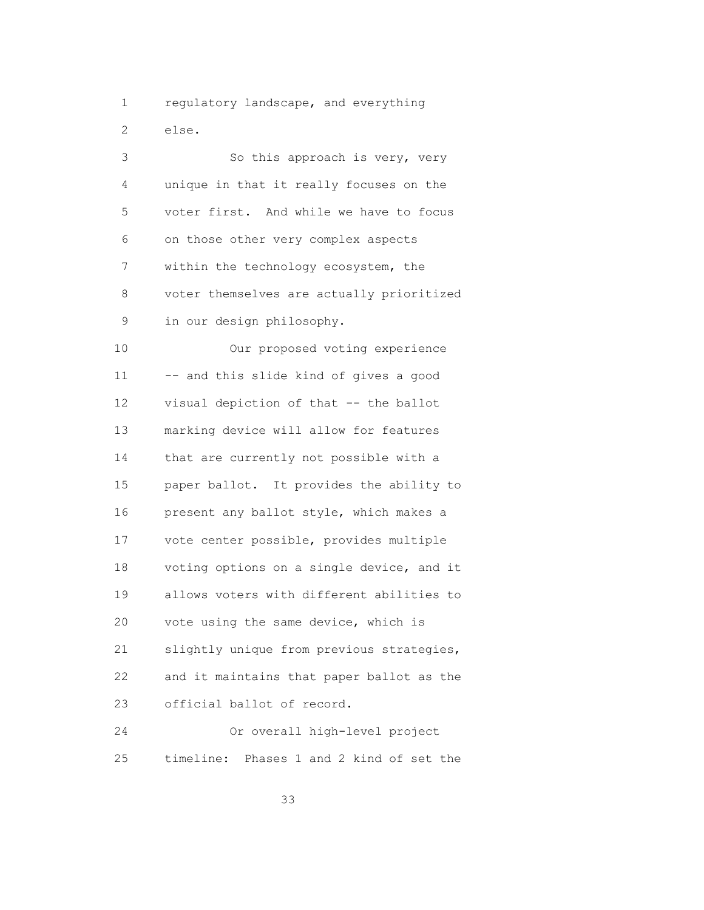1 regulatory landscape, and everything 2 else.

3 So this approach is very, very 4 unique in that it really focuses on the 5 voter first. And while we have to focus 6 on those other very complex aspects 7 within the technology ecosystem, the 8 voter themselves are actually prioritized 9 in our design philosophy. 10 Our proposed voting experience 11 -- and this slide kind of gives a good 12 visual depiction of that -- the ballot 13 marking device will allow for features 14 that are currently not possible with a 15 paper ballot. It provides the ability to 16 present any ballot style, which makes a 17 vote center possible, provides multiple 18 voting options on a single device, and it 19 allows voters with different abilities to 20 vote using the same device, which is 21 slightly unique from previous strategies, 22 and it maintains that paper ballot as the 23 official ballot of record.

 24 Or overall high-level project 25 timeline: Phases 1 and 2 kind of set the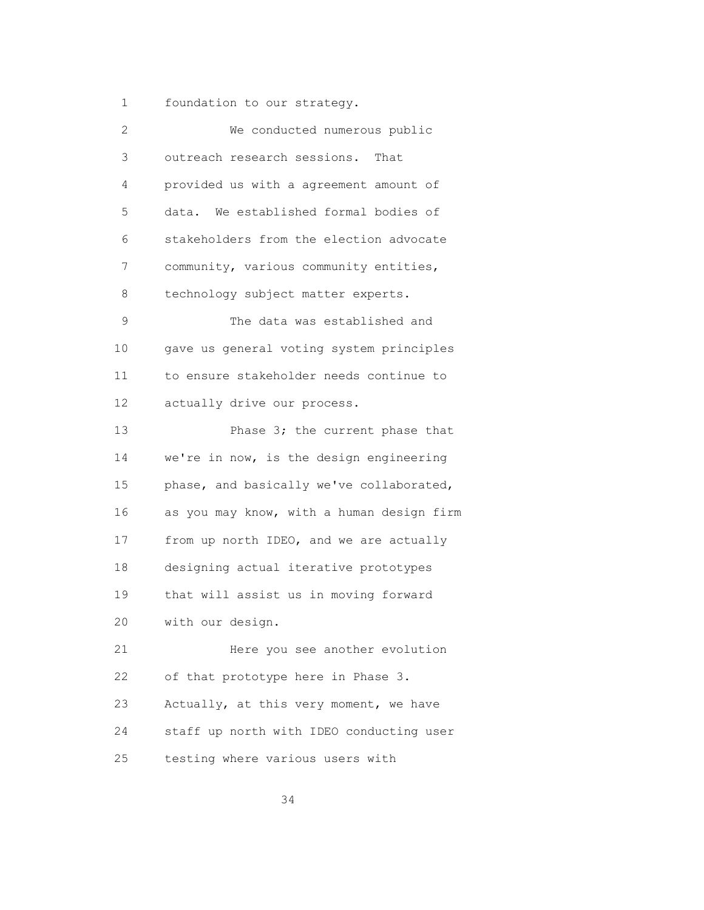1 foundation to our strategy.

| 2  | We conducted numerous public              |
|----|-------------------------------------------|
| 3  | outreach research sessions. That          |
| 4  | provided us with a agreement amount of    |
| 5  | data. We established formal bodies of     |
| 6  | stakeholders from the election advocate   |
| 7  | community, various community entities,    |
| 8  | technology subject matter experts.        |
| 9  | The data was established and              |
| 10 | gave us general voting system principles  |
| 11 | to ensure stakeholder needs continue to   |
| 12 | actually drive our process.               |
| 13 | Phase 3; the current phase that           |
| 14 | we're in now, is the design engineering   |
| 15 | phase, and basically we've collaborated,  |
| 16 | as you may know, with a human design firm |
| 17 | from up north IDEO, and we are actually   |
| 18 | designing actual iterative prototypes     |
| 19 | that will assist us in moving forward     |
| 20 | with our design.                          |
| 21 | Here you see another evolution            |
| 22 | of that prototype here in Phase 3.        |
| 23 | Actually, at this very moment, we have    |
| 24 | staff up north with IDEO conducting user  |
| 25 | testing where various users with          |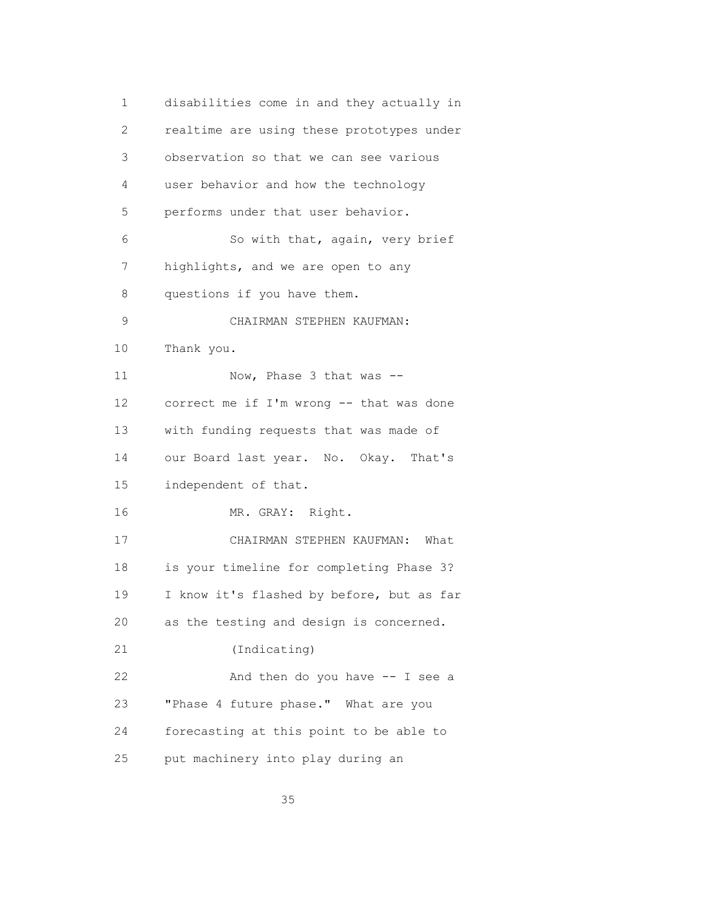1 disabilities come in and they actually in 2 realtime are using these prototypes under 3 observation so that we can see various 4 user behavior and how the technology 5 performs under that user behavior. 6 So with that, again, very brief 7 highlights, and we are open to any 8 questions if you have them. 9 CHAIRMAN STEPHEN KAUFMAN: 10 Thank you. 11 Now, Phase 3 that was -- 12 correct me if I'm wrong -- that was done 13 with funding requests that was made of 14 our Board last year. No. Okay. That's 15 independent of that. 16 MR. GRAY: Right. 17 CHAIRMAN STEPHEN KAUFMAN: What 18 is your timeline for completing Phase 3? 19 I know it's flashed by before, but as far 20 as the testing and design is concerned. 21 (Indicating) 22 And then do you have -- I see a 23 "Phase 4 future phase." What are you 24 forecasting at this point to be able to 25 put machinery into play during an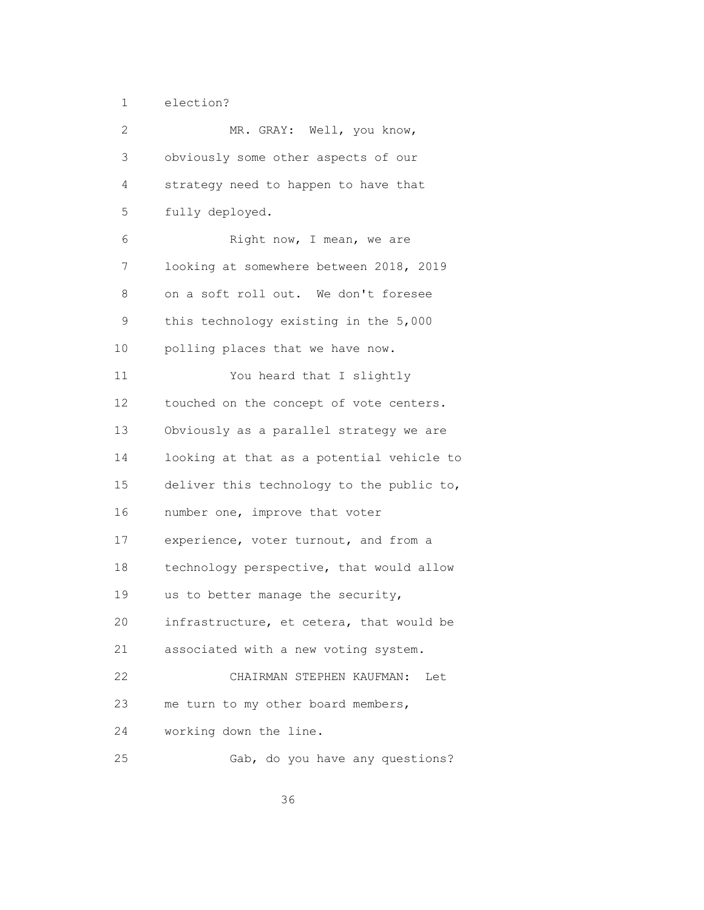1 election?

| 2               | MR. GRAY: Well, you know,                 |
|-----------------|-------------------------------------------|
| 3               | obviously some other aspects of our       |
| 4               | strategy need to happen to have that      |
| 5               | fully deployed.                           |
| 6               | Right now, I mean, we are                 |
| 7               | looking at somewhere between 2018, 2019   |
| 8               | on a soft roll out. We don't foresee      |
| 9               | this technology existing in the 5,000     |
| 10              | polling places that we have now.          |
| 11              | You heard that I slightly                 |
| 12 <sup>°</sup> | touched on the concept of vote centers.   |
| 13              | Obviously as a parallel strategy we are   |
| 14              | looking at that as a potential vehicle to |
| 15              | deliver this technology to the public to, |
| 16              | number one, improve that voter            |
| 17              | experience, voter turnout, and from a     |
| 18              | technology perspective, that would allow  |
| 19              | us to better manage the security,         |
| 20              | infrastructure, et cetera, that would be  |
| 21              | associated with a new voting system.      |
| 22              | CHAIRMAN STEPHEN KAUFMAN:<br>Let          |
| 23              | me turn to my other board members,        |
| 24              | working down the line.                    |
| 25              | Gab, do you have any questions?           |

<u>36 and 2012</u>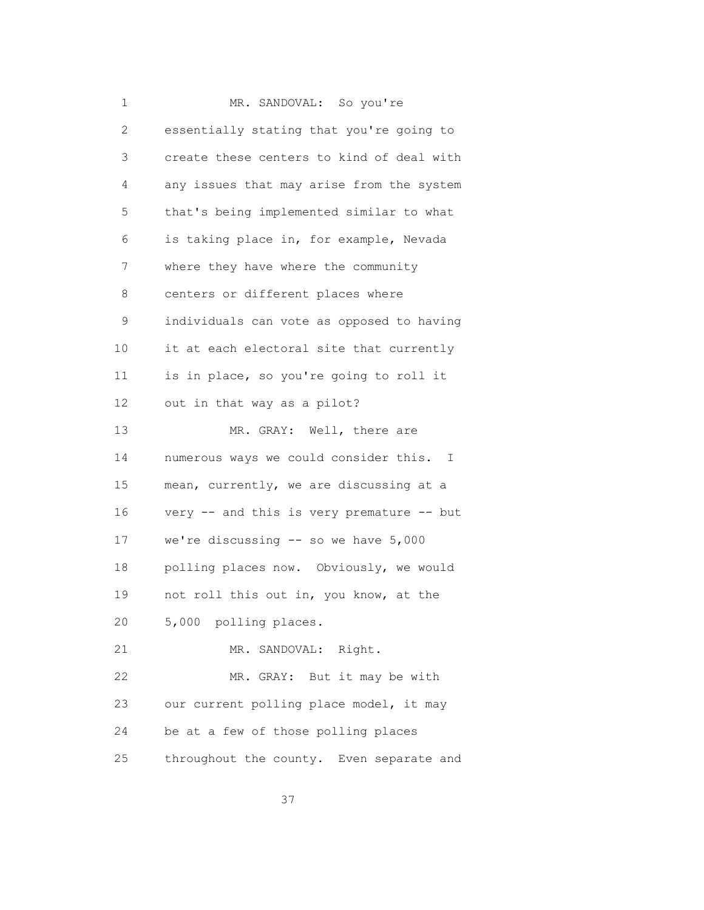| 1              | MR. SANDOVAL: So you're                   |
|----------------|-------------------------------------------|
| $\overline{c}$ | essentially stating that you're going to  |
| 3              | create these centers to kind of deal with |
| 4              | any issues that may arise from the system |
| 5              | that's being implemented similar to what  |
| 6              | is taking place in, for example, Nevada   |
| 7              | where they have where the community       |
| 8              | centers or different places where         |
| 9              | individuals can vote as opposed to having |
| 10             | it at each electoral site that currently  |
| 11             | is in place, so you're going to roll it   |
| 12             | out in that way as a pilot?               |
| 13             | MR. GRAY: Well, there are                 |
| 14             | numerous ways we could consider this. I   |
| 15             | mean, currently, we are discussing at a   |
| 16             | very -- and this is very premature -- but |
| 17             | we're discussing -- so we have 5,000      |
| 18             | polling places now. Obviously, we would   |
| 19             | not roll this out in, you know, at the    |
| 20             | 5,000 polling places.                     |
| 21             | MR. SANDOVAL: Right.                      |
| 22             | But it may be with<br>MR. GRAY:           |
| 23             | our current polling place model, it may   |
| 24             | be at a few of those polling places       |
| 25             | throughout the county. Even separate and  |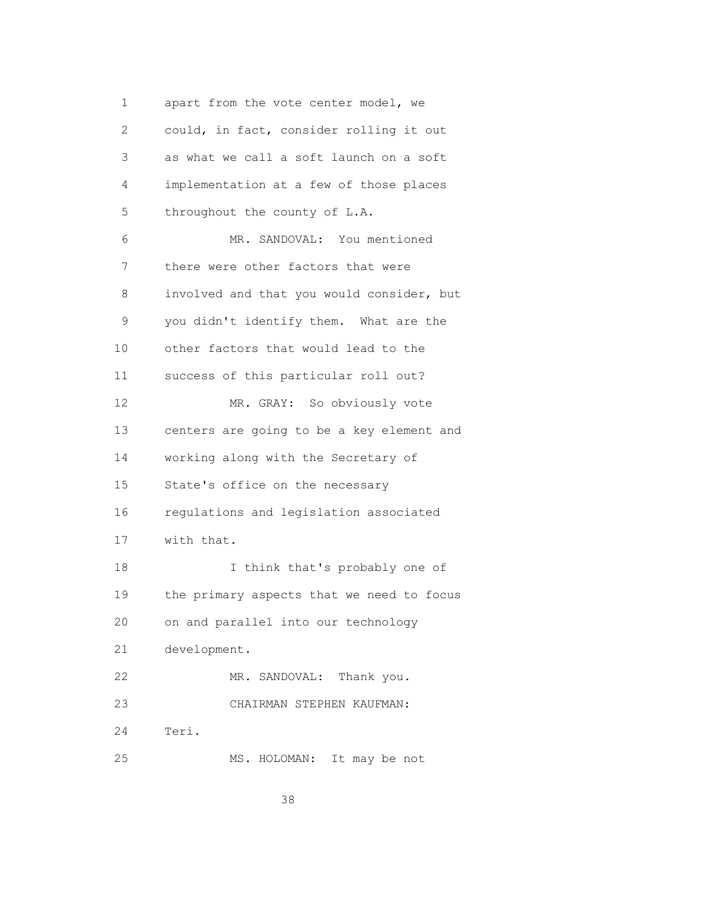1 apart from the vote center model, we 2 could, in fact, consider rolling it out 3 as what we call a soft launch on a soft 4 implementation at a few of those places 5 throughout the county of L.A. 6 MR. SANDOVAL: You mentioned 7 there were other factors that were 8 involved and that you would consider, but 9 you didn't identify them. What are the 10 other factors that would lead to the 11 success of this particular roll out? 12 MR. GRAY: So obviously vote 13 centers are going to be a key element and 14 working along with the Secretary of 15 State's office on the necessary 16 regulations and legislation associated 17 with that. 18 I think that's probably one of 19 the primary aspects that we need to focus 20 on and parallel into our technology 21 development. 22 MR. SANDOVAL: Thank you. 23 CHAIRMAN STEPHEN KAUFMAN: 24 Teri. 25 MS. HOLOMAN: It may be not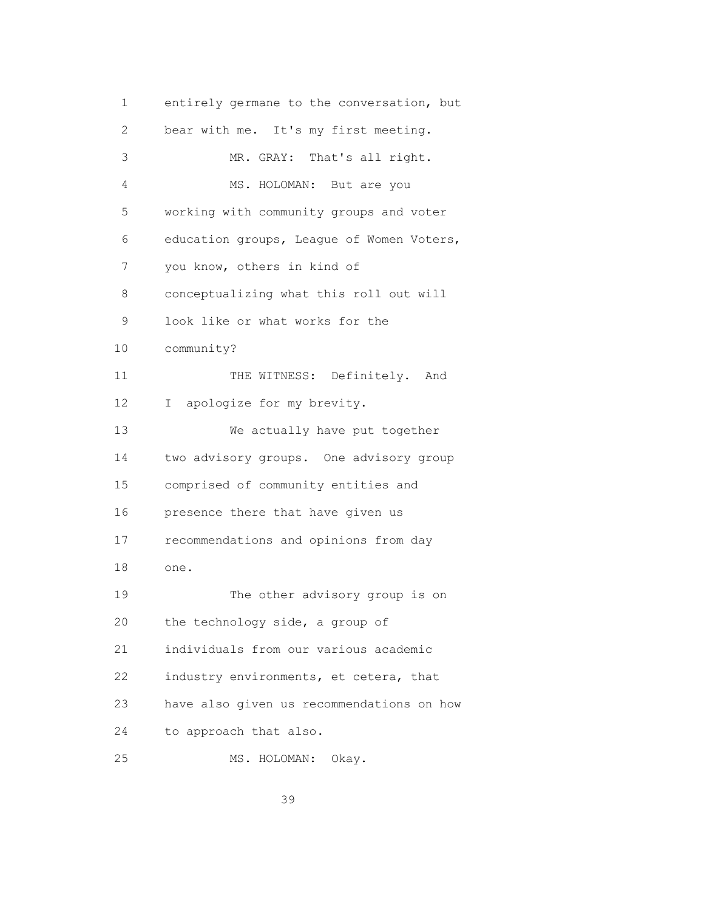1 entirely germane to the conversation, but 2 bear with me. It's my first meeting. 3 MR. GRAY: That's all right. 4 MS. HOLOMAN: But are you 5 working with community groups and voter 6 education groups, League of Women Voters, 7 you know, others in kind of 8 conceptualizing what this roll out will 9 look like or what works for the 10 community? 11 THE WITNESS: Definitely. And 12 I apologize for my brevity. 13 We actually have put together 14 two advisory groups. One advisory group 15 comprised of community entities and 16 presence there that have given us 17 recommendations and opinions from day 18 one. 19 The other advisory group is on 20 the technology side, a group of 21 individuals from our various academic 22 industry environments, et cetera, that 23 have also given us recommendations on how 24 to approach that also. 25 MS. HOLOMAN: Okay.

<u>39 and 2012</u>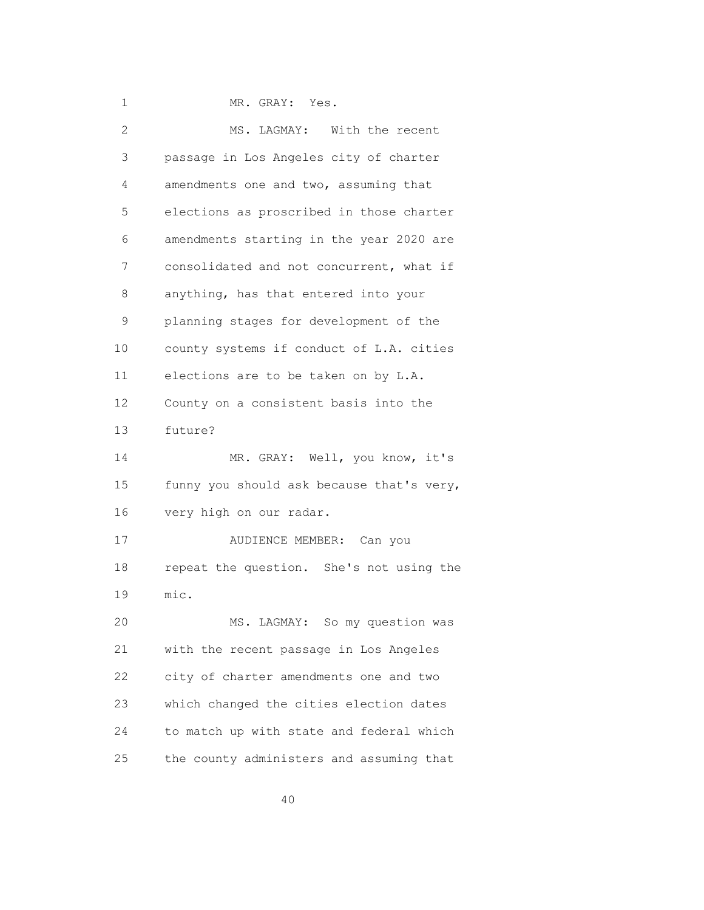1 MR. GRAY: Yes.

| 2               | MS. LAGMAY: With the recent               |
|-----------------|-------------------------------------------|
| 3               | passage in Los Angeles city of charter    |
| 4               | amendments one and two, assuming that     |
| 5               | elections as proscribed in those charter  |
| 6               | amendments starting in the year 2020 are  |
| 7               | consolidated and not concurrent, what if  |
| 8               | anything, has that entered into your      |
| 9               | planning stages for development of the    |
| 10 <sub>o</sub> | county systems if conduct of L.A. cities  |
| 11              | elections are to be taken on by L.A.      |
| 12 <sup>°</sup> | County on a consistent basis into the     |
| 13              | future?                                   |
| 14              | MR. GRAY: Well, you know, it's            |
| 15              | funny you should ask because that's very, |
| 16              | very high on our radar.                   |
| 17              | AUDIENCE MEMBER: Can you                  |
| 18              | repeat the question. She's not using the  |
| 19              | mic.                                      |
| 20              | So my question was<br>MS. LAGMAY:         |
| 21              | with the recent passage in Los Angeles    |
| 22              | city of charter amendments one and two    |
| 23              | which changed the cities election dates   |
| 24              | to match up with state and federal which  |
| 25              | the county administers and assuming that  |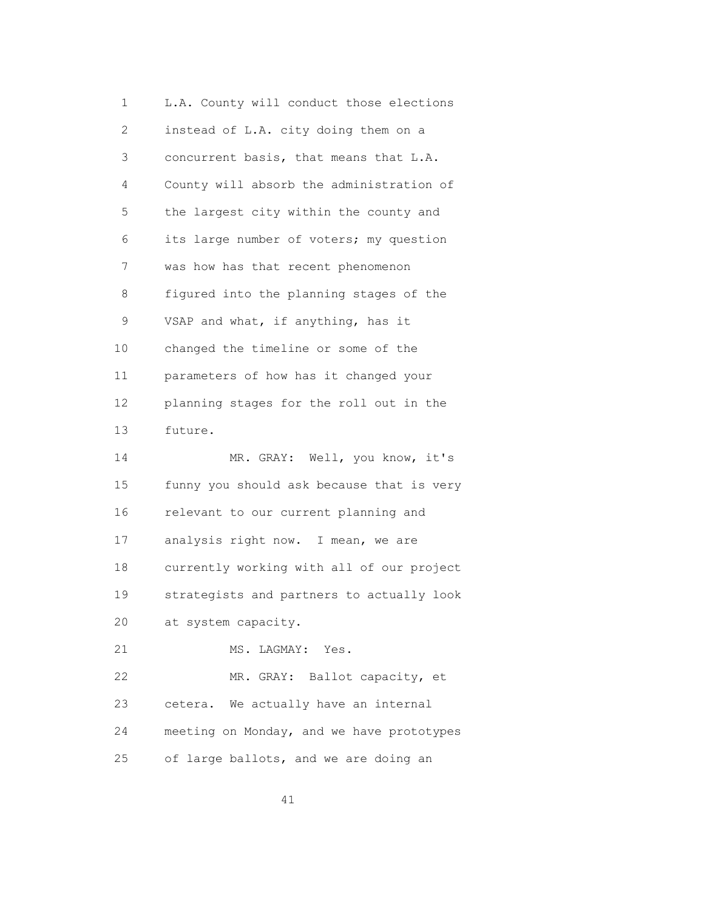1 L.A. County will conduct those elections 2 instead of L.A. city doing them on a 3 concurrent basis, that means that L.A. 4 County will absorb the administration of 5 the largest city within the county and 6 its large number of voters; my question 7 was how has that recent phenomenon 8 figured into the planning stages of the 9 VSAP and what, if anything, has it 10 changed the timeline or some of the 11 parameters of how has it changed your 12 planning stages for the roll out in the 13 future. 14 MR. GRAY: Well, you know, it's 15 funny you should ask because that is very 16 relevant to our current planning and 17 analysis right now. I mean, we are 18 currently working with all of our project 19 strategists and partners to actually look 20 at system capacity. 21 MS. LAGMAY: Yes. 22 MR. GRAY: Ballot capacity, et 23 cetera. We actually have an internal 24 meeting on Monday, and we have prototypes 25 of large ballots, and we are doing an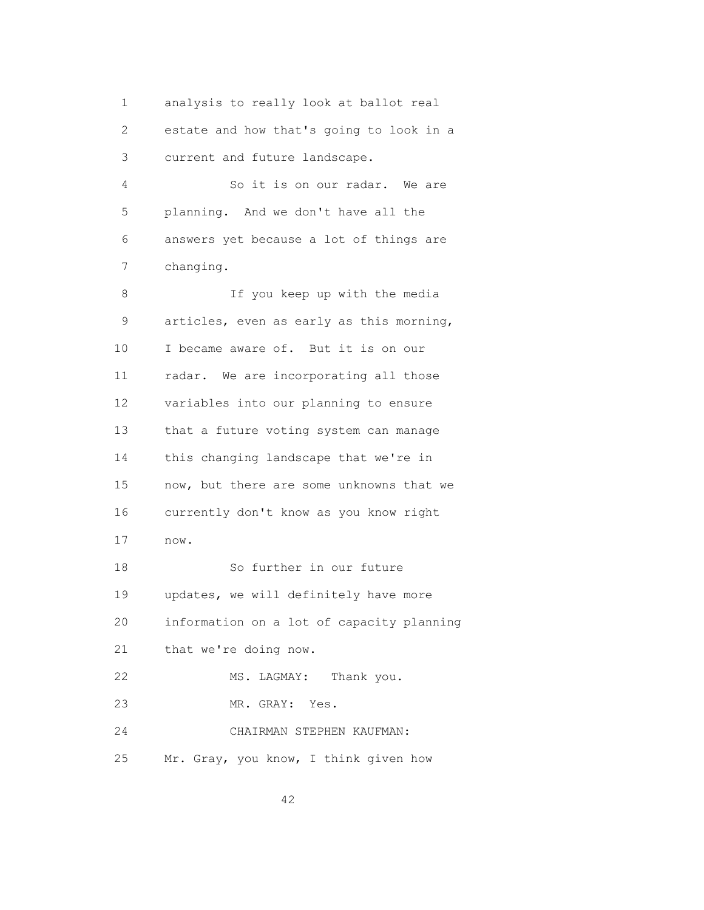1 analysis to really look at ballot real 2 estate and how that's going to look in a 3 current and future landscape.

 4 So it is on our radar. We are 5 planning. And we don't have all the 6 answers yet because a lot of things are 7 changing.

 8 If you keep up with the media 9 articles, even as early as this morning, 10 I became aware of. But it is on our 11 radar. We are incorporating all those 12 variables into our planning to ensure 13 that a future voting system can manage 14 this changing landscape that we're in 15 now, but there are some unknowns that we 16 currently don't know as you know right 17 now. 18 So further in our future 19 updates, we will definitely have more 20 information on a lot of capacity planning 21 that we're doing now. 22 MS. LAGMAY: Thank you. 23 MR. GRAY: Yes. 24 CHAIRMAN STEPHEN KAUFMAN: 25 Mr. Gray, you know, I think given how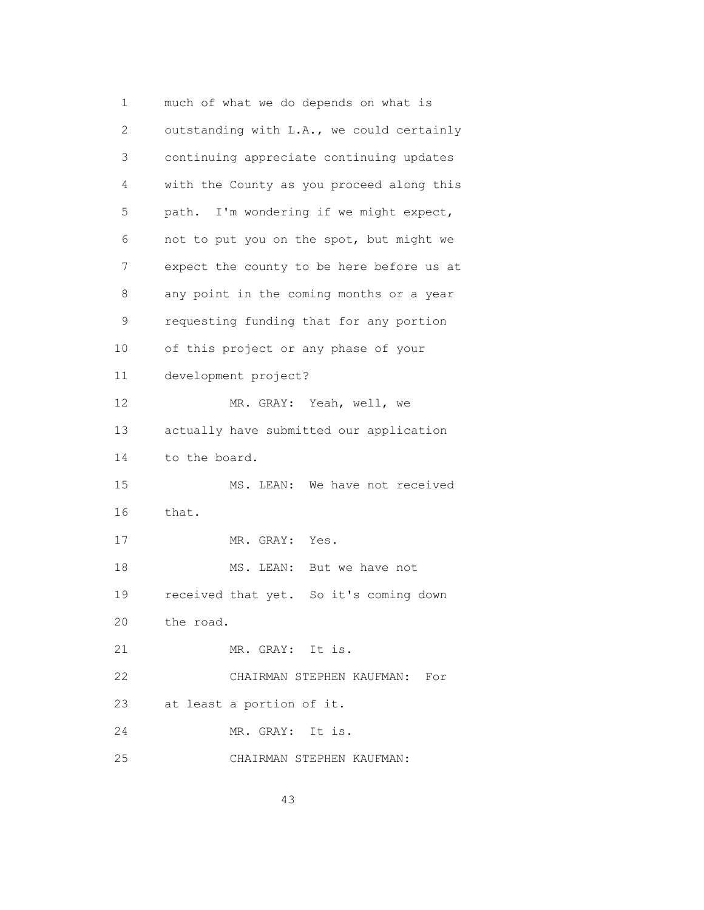1 much of what we do depends on what is 2 outstanding with L.A., we could certainly 3 continuing appreciate continuing updates 4 with the County as you proceed along this 5 path. I'm wondering if we might expect, 6 not to put you on the spot, but might we 7 expect the county to be here before us at 8 any point in the coming months or a year 9 requesting funding that for any portion 10 of this project or any phase of your 11 development project? 12 MR. GRAY: Yeah, well, we 13 actually have submitted our application 14 to the board. 15 MS. LEAN: We have not received 16 that. 17 MR. GRAY: Yes. 18 MS. LEAN: But we have not 19 received that yet. So it's coming down 20 the road. 21 MR. GRAY: It is. 22 CHAIRMAN STEPHEN KAUFMAN: For 23 at least a portion of it. 24 MR. GRAY: It is. 25 CHAIRMAN STEPHEN KAUFMAN: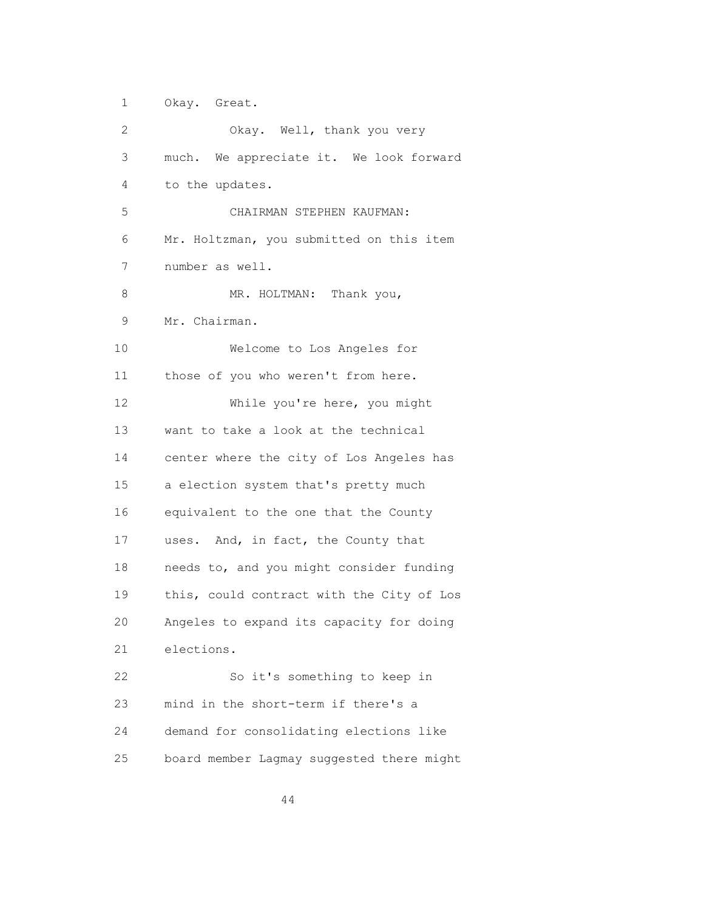1 Okay. Great. 2 Okay. Well, thank you very 3 much. We appreciate it. We look forward 4 to the updates. 5 CHAIRMAN STEPHEN KAUFMAN: 6 Mr. Holtzman, you submitted on this item 7 number as well. 8 MR. HOLTMAN: Thank you, 9 Mr. Chairman. 10 Welcome to Los Angeles for 11 those of you who weren't from here. 12 While you're here, you might 13 want to take a look at the technical 14 center where the city of Los Angeles has 15 a election system that's pretty much 16 equivalent to the one that the County 17 uses. And, in fact, the County that 18 needs to, and you might consider funding 19 this, could contract with the City of Los 20 Angeles to expand its capacity for doing 21 elections. 22 So it's something to keep in 23 mind in the short-term if there's a 24 demand for consolidating elections like

44

25 board member Lagmay suggested there might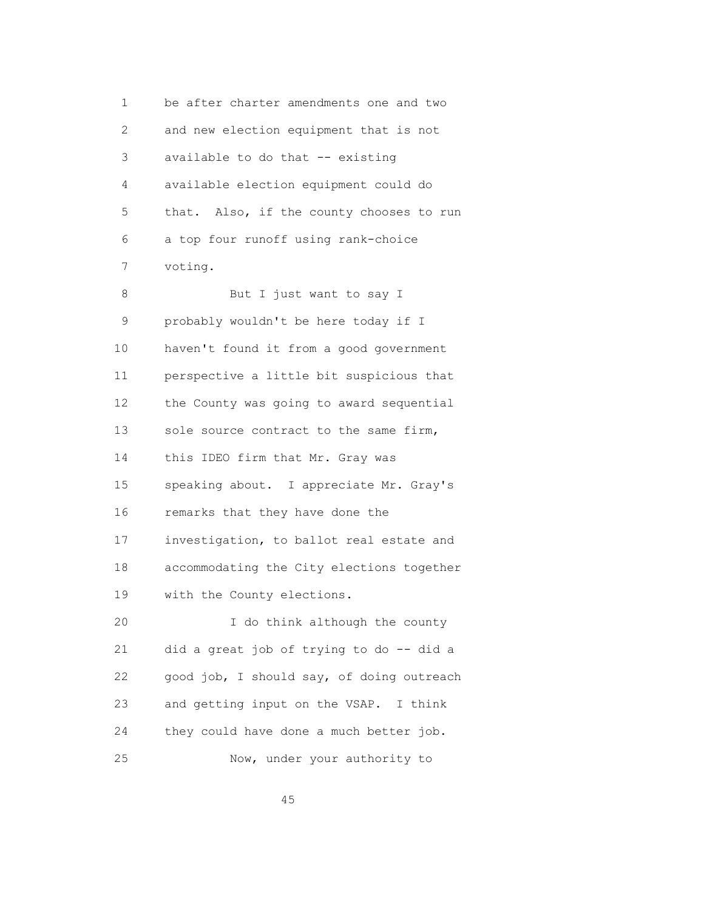1 be after charter amendments one and two 2 and new election equipment that is not 3 available to do that -- existing 4 available election equipment could do 5 that. Also, if the county chooses to run 6 a top four runoff using rank-choice 7 voting. 8 But I just want to say I 9 probably wouldn't be here today if I 10 haven't found it from a good government 11 perspective a little bit suspicious that 12 the County was going to award sequential 13 sole source contract to the same firm, 14 this IDEO firm that Mr. Gray was 15 speaking about. I appreciate Mr. Gray's 16 remarks that they have done the 17 investigation, to ballot real estate and 18 accommodating the City elections together 19 with the County elections. 20 I do think although the county 21 did a great job of trying to do -- did a 22 good job, I should say, of doing outreach 23 and getting input on the VSAP. I think 24 they could have done a much better job. 25 Now, under your authority to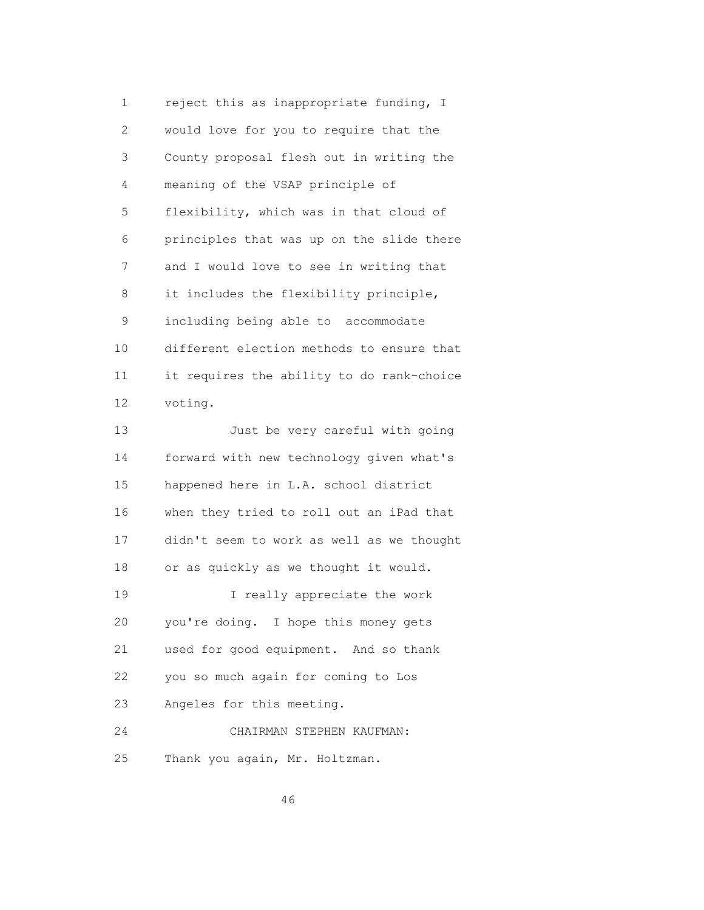1 reject this as inappropriate funding, I 2 would love for you to require that the 3 County proposal flesh out in writing the 4 meaning of the VSAP principle of 5 flexibility, which was in that cloud of 6 principles that was up on the slide there 7 and I would love to see in writing that 8 it includes the flexibility principle, 9 including being able to accommodate 10 different election methods to ensure that 11 it requires the ability to do rank-choice 12 voting. 13 Just be very careful with going 14 forward with new technology given what's 15 happened here in L.A. school district 16 when they tried to roll out an iPad that 17 didn't seem to work as well as we thought 18 or as quickly as we thought it would. 19 I really appreciate the work 20 you're doing. I hope this money gets 21 used for good equipment. And so thank

22 you so much again for coming to Los

23 Angeles for this meeting.

 24 CHAIRMAN STEPHEN KAUFMAN: 25 Thank you again, Mr. Holtzman.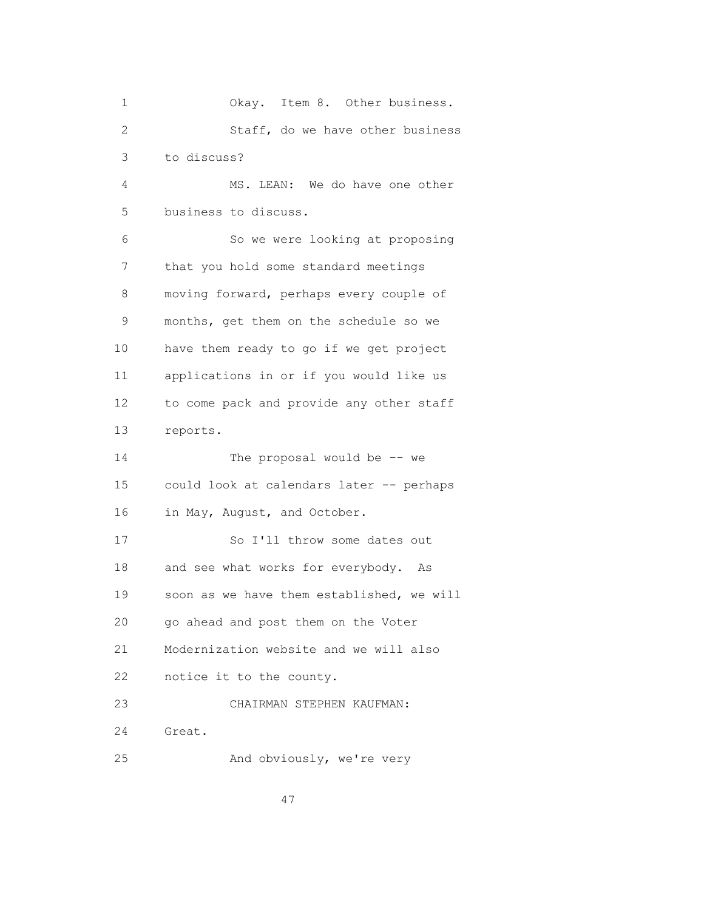| 1            | Okay. Item 8. Other business.             |
|--------------|-------------------------------------------|
| $\mathbf{2}$ | Staff, do we have other business          |
| 3            | to discuss?                               |
| 4            | MS. LEAN: We do have one other            |
| 5            | business to discuss.                      |
| 6            | So we were looking at proposing           |
| 7            | that you hold some standard meetings      |
| 8            | moving forward, perhaps every couple of   |
| 9            | months, get them on the schedule so we    |
| 10           | have them ready to go if we get project   |
| 11           | applications in or if you would like us   |
| 12           | to come pack and provide any other staff  |
| 13           | reports.                                  |
| 14           | The proposal would be -- we               |
| 15           | could look at calendars later -- perhaps  |
| 16           | in May, August, and October.              |
| 17           | So I'll throw some dates out              |
| 18           | and see what works for everybody. As      |
| 19           | soon as we have them established, we will |
| 20           | go ahead and post them on the Voter       |
| 21           | Modernization website and we will also    |
| 22           | notice it to the county.                  |
| 23           | CHAIRMAN STEPHEN KAUFMAN:                 |
| 24           | Great.                                    |
| 25           | And obviously, we're very                 |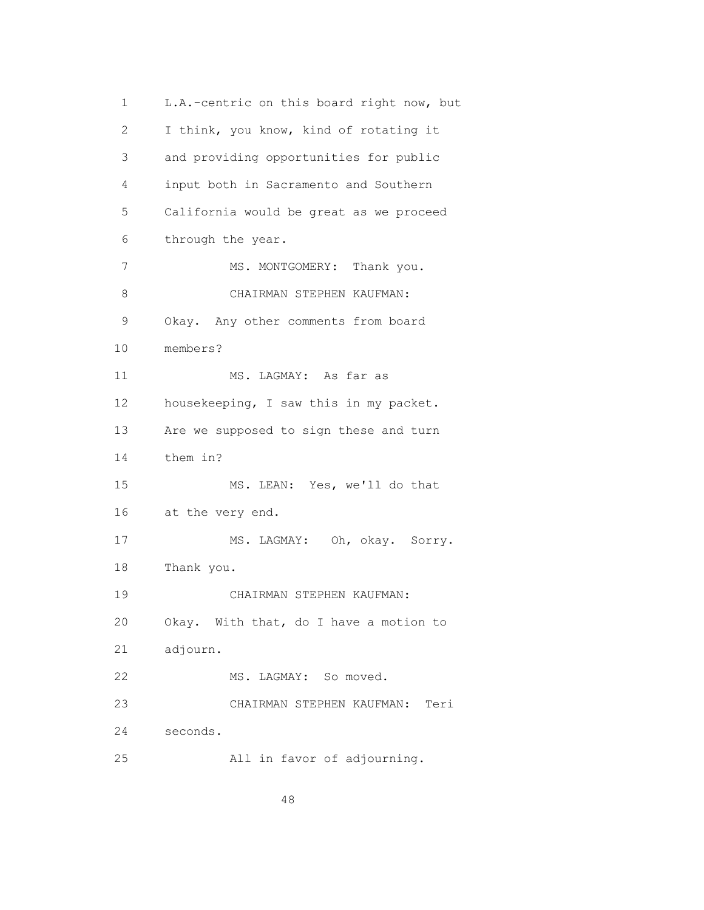1 L.A.-centric on this board right now, but 2 I think, you know, kind of rotating it 3 and providing opportunities for public 4 input both in Sacramento and Southern 5 California would be great as we proceed 6 through the year. 7 MS. MONTGOMERY: Thank you. 8 CHAIRMAN STEPHEN KAUFMAN: 9 Okay. Any other comments from board 10 members? 11 MS. LAGMAY: As far as 12 housekeeping, I saw this in my packet. 13 Are we supposed to sign these and turn 14 them in? 15 MS. LEAN: Yes, we'll do that 16 at the very end. 17 MS. LAGMAY: Oh, okay. Sorry. 18 Thank you. 19 CHAIRMAN STEPHEN KAUFMAN: 20 Okay. With that, do I have a motion to 21 adjourn. 22 MS. LAGMAY: So moved. 23 CHAIRMAN STEPHEN KAUFMAN: Teri 24 seconds. 25 All in favor of adjourning.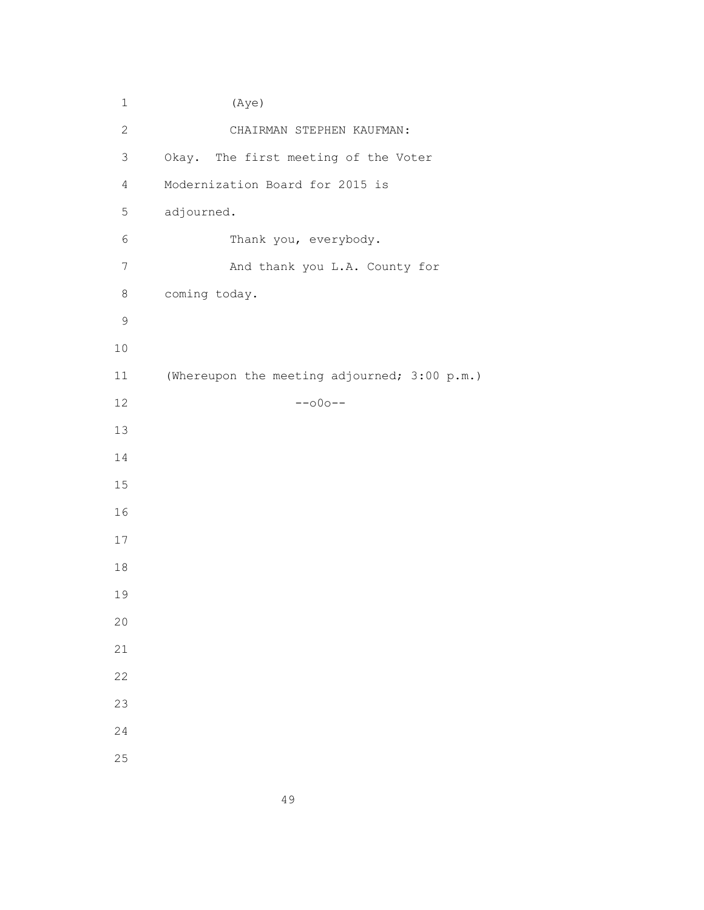1 (Aye) 2 CHAIRMAN STEPHEN KAUFMAN: 3 Okay. The first meeting of the Voter 4 Modernization Board for 2015 is 5 adjourned. 6 Thank you, everybody. 7 And thank you L.A. County for 8 coming today. 11 (Whereupon the meeting adjourned; 3:00 p.m.)  $--$ 000--